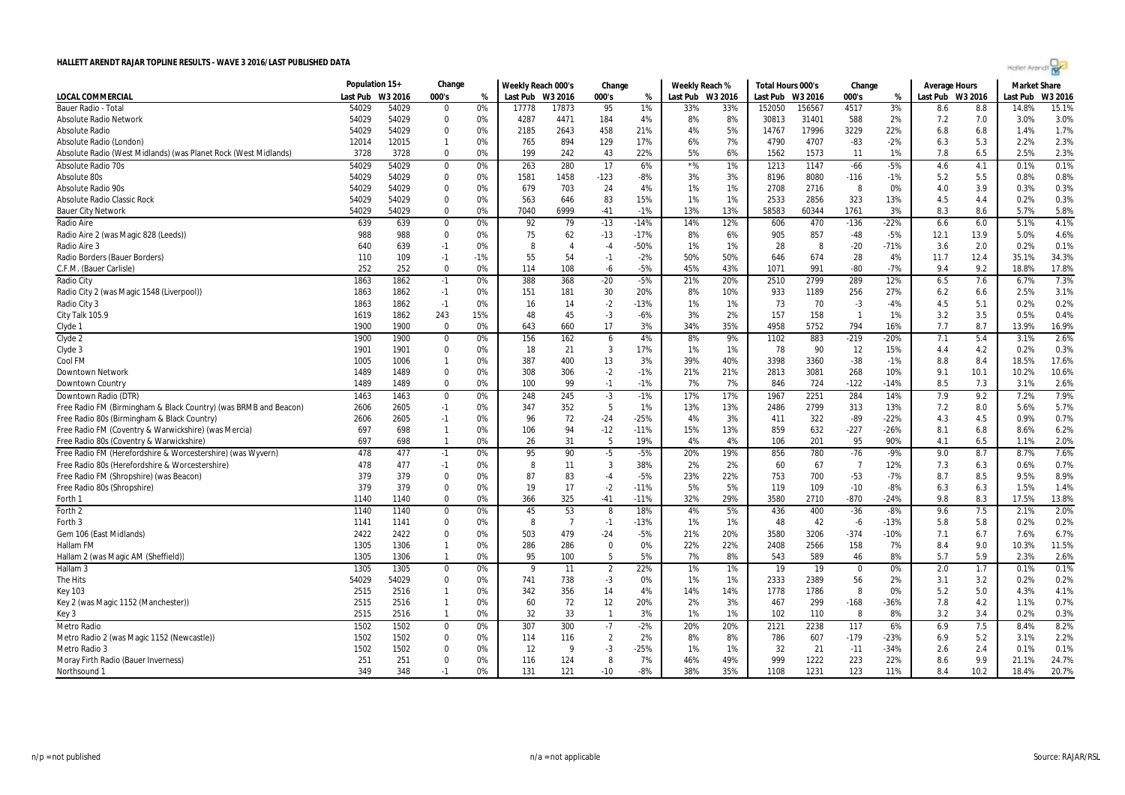|                                                                  | Population 15+ |         | Change                        |          | Weekly Reach 000's |                | Change         |        | Weekly Reach % |           | Total Hours 000's |         | Change         |               | Average Hours    |      | <b>Market Share</b> |         |
|------------------------------------------------------------------|----------------|---------|-------------------------------|----------|--------------------|----------------|----------------|--------|----------------|-----------|-------------------|---------|----------------|---------------|------------------|------|---------------------|---------|
| LOCAL COMMERCIAL                                                 | Last Pub       | W3 2016 | 000's                         | %        | Last Pub           | W3 2016        | 000's          | %      | Last Pub       | W3 2016   | Last Pub          | W3 2016 | 000's          | %             | Last Pub W3 2016 |      | Last Pub            | W3 2016 |
| <b>Bauer Radio - Total</b>                                       | 54029          | 54029   | $\mathbf 0$                   | 0%       | 17778              | 17873          | 95             | 1%     | 33%            | 33%       | 152050            | 156567  | 4517           | 3%            | 8.6              | 8.8  | 14.8%               | 15.1%   |
| <b>Absolute Radio Network</b>                                    | 54029          | 54029   | $\Omega$                      | 0%       | 4287               | 4471           | 184            | 4%     | 8%             | 8%        | 30813             | 31401   | 588            | 2%            | 7.2              | 7.0  | 3.0%                | 3.0%    |
| <b>Absolute Radio</b>                                            | 54029          | 54029   | $\mathbf 0$                   | 0%       | 2185               | 2643           | 458            | 21%    | 4%             | 5%        | 14767             | 17996   | 3229           | 22%           | 6.8              | 6.8  | 1.4%                | 1.7%    |
| Absolute Radio (London)                                          | 12014          | 12015   | $\overline{1}$                | 0%       | 765                | 894            | 129            | 17%    | 6%             | 7%        | 4790              | 4707    | $-83$          | $-2%$         | 6.3              | 5.3  | 2.2%                | 2.3%    |
| Absolute Radio (West Midlands) (was Planet Rock (West Midlands)  | 3728           | 3728    | $\overline{0}$                | 0%       | 199                | 242            | 43             | 22%    | 5%             | 6%        | 1562              | 1573    | 11             | 1%            | 7.8              | 6.5  | 2.5%                | 2.3%    |
| Absolute Radio 70s                                               | 54029          | 54029   | $\mathbf 0$                   | 0%       | 263                | 280            | 17             | 6%     | $*$ %          | 1%        | 1213              | 1147    | $-66$          | $-5%$         | 4.6              | 4.1  | 0.1%                | 0.1%    |
| Absolute 80s                                                     | 54029          | 54029   | 0                             | 0%       | 1581               | 1458           | $-123$         | -8%    | 3%             | 3%        | 8196              | 8080    | $-116$         | $-1%$         | 5.2              | 5.5  | 0.8%                | 0.8%    |
| Absolute Radio 90s                                               | 54029          | 54029   | $\mathbf 0$                   | 0%       | 679                | 703            | 24             | 4%     | 1%             | 1%        | 2708              | 2716    | 8              | 0%            | 4.0              | 3.9  | 0.3%                | 0.3%    |
| <b>Absolute Radio Classic Rock</b>                               | 54029          | 54029   | $\Omega$                      | 0%       | 563                | 646            | 83             | 15%    | 1%             | 1%        | 2533              | 2856    | 323            | 13%           | 4.5              | 4.4  | 0.2%                | 0.3%    |
| <b>Bauer City Network</b>                                        | 54029          | 54029   | $\Omega$                      | 0%       | 7040               | 6999           | $-41$          | $-1%$  | 13%            | 13%       | 58583             | 60344   | 1761           | 3%            | 8.3              | 8.6  | 5.7%                | 5.8%    |
| Radio Aire                                                       | 639            | 639     | $\mathbf 0$                   | 0%       | 92                 | 79             | $-13$          | $-14%$ | 14%            | 12%       | 606               | 470     | $-136$         | $-22%$        | 6.6              | 6.0  | 5.1%                | 4.1%    |
| Radio Aire 2 (was Magic 828 (Leeds))                             | 988            | 988     | $\mathbf 0$                   | 0%       | 75                 | 62             | $-13$          | $-17%$ | 8%             | 6%        | 905               | 857     | -48            | $-5%$         | 12.1             | 13.9 | 5.0%                | 4.6%    |
| Radio Aire 3                                                     | 640            | 639     | $-1$                          | 0%       | 8                  | $\overline{4}$ | $-4$           | -50%   | 1%             | 1%        | 28                | 8       | $-20$          | $-71%$        | 3.6              | 2.0  | 0.2%                | 0.1%    |
| Radio Borders (Bauer Borders)                                    | 110            | 109     | $-1$                          | $-1%$    | 55                 | 54             | $-1$           | $-2%$  | 50%            | 50%       | 646               | 674     | 28             | 4%            | 11.7             | 12.4 | 35.1%               | 34.3%   |
| C.F.M. (Bauer Carlisle)                                          | 252            | 252     | $\overline{0}$                | 0%       | 114                | 108            | -6             | $-5%$  | 45%            | 43%       | 1071              | 991     | -80            | $-7%$         | 9.4              | 9.2  | 18.8%               | 17.8%   |
| Radio City                                                       | 1863           | 1862    | $-1$                          | 0%       | 388                | 368            | $-20$          | $-5%$  | 21%            | 20%       | 2510              | 2799    | 289            | 12%           | 6.5              | 7.6  | 6.7%                | 7.3%    |
| Radio City 2 (was Magic 1548 (Liverpool))                        | 1863           | 1862    | $-1$                          | 0%       | 151                | 181            | 30             | 20%    | 8%             | 10%       | 933               | 1189    | 256            | 27%           | 6.2              | 6.6  | 2.5%                | 3.1%    |
| Radio City 3                                                     | 1863           | 1862    | $-1$                          | 0%       | 16                 | 14             | $-2$           | -13%   | 1%             | 1%        | 73                | 70      | $-3$           | $-4%$         | 4.5              | 5.1  | 0.2%                | 0.2%    |
| City Talk 105.9                                                  | 1619           | 1862    | 243                           | 15%      | 48                 | 45             | $-3$           | $-6%$  | 3%             | 2%        | 157               | 158     | -1             | 1%            | 3.2              | 3.5  | 0.5%                | 0.4%    |
|                                                                  | 1900           | 1900    | $\mathbf{0}$                  | 0%       | 643                | 660            | 17             | 3%     | 34%            | 35%       | 4958              | 5752    | 794            | 16%           | 7.7              | 8.7  | 13.9%               | 16.9%   |
| Clyde 1<br>Clyde 2                                               |                |         |                               | 0%       | 156                | 162            | 6              | 4%     |                | 9%        |                   | 883     |                | $-20%$        |                  | 5.4  | 3.1%                | 2.6%    |
|                                                                  | 1900           | 1900    | $\mathbf 0$                   |          |                    | 21             | $\overline{3}$ | 17%    | 8%             |           | 1102              | 90      | $-219$         |               | 7.1              |      | 0.2%                | 0.3%    |
| Clyde 3                                                          | 1901           | 1901    | $\mathbf 0$<br>$\overline{1}$ | 0%       | 18                 |                |                |        | 1%             | 1%        | 78                |         | 12             | 15%           | 4.4              | 4.2  |                     |         |
| Cool FM                                                          | 1005           | 1006    |                               | 0%       | 387                | 400            | 13             | 3%     | 39%            | 40%       | 3398              | 3360    | $-38$          | $-1%$         | 8.8              | 8.4  | 18.5%               | 17.6%   |
| Downtown Network                                                 | 1489           | 1489    | $\mathbf 0$<br>$\mathbf 0$    | 0%<br>0% | 308<br>100         | 306<br>99      | $-2$           | $-1%$  | 21%<br>7%      | 21%<br>7% | 2813              | 3081    | 268            | 10%<br>$-14%$ | 9.1<br>8.5       | 10.1 | 10.2%               | 10.6%   |
| Downtown Country                                                 | 1489           | 1489    |                               |          |                    |                | $-1$           | $-1%$  |                |           | 846               | 724     | $-122$         |               |                  | 7.3  | 3.1%                | 2.6%    |
| Downtown Radio (DTR)                                             | 1463           | 1463    | 0                             | 0%       | 248                | 245            | $-3$           | $-1%$  | 17%            | 17%       | 1967              | 2251    | 284            | 14%           | 7.9              | 9.2  | 7.2%                | 7.9%    |
| Free Radio FM (Birmingham & Black Country) (was BRMB and Beacon) | 2606           | 2605    | $-1$                          | 0%       | 347                | 352            | 5              | 1%     | 13%            | 13%       | 2486              | 2799    | 313            | 13%           | 7.2              | 8.0  | 5.6%                | 5.7%    |
| Free Radio 80s (Birmingham & Black Country)                      | 2606           | 2605    | $-1$                          | 0%       | 96                 | 72             | $-24$          | -25%   | 4%             | 3%        | 411               | 322     | -89            | $-22%$        | 4.3              | 4.5  | 0.9%                | 0.7%    |
| Free Radio FM (Coventry & Warwickshire) (was Mercia)             | 697            | 698     | $\mathbf{1}$                  | 0%       | 106                | 94             | $-12$          | $-11%$ | 15%            | 13%       | 859               | 632     | $-227$         | $-26%$        | 8.1              | 6.8  | 8.6%                | 6.2%    |
| Free Radio 80s (Coventry & Warwickshire)                         | 697            | 698     | $\mathbf{1}$                  | 0%       | 26                 | 31             | -5             | 19%    | 4%             | 4%        | 106               | 201     | 95             | 90%           | 4.1              | 6.5  | 1.1%                | 2.0%    |
| Free Radio FM (Herefordshire & Worcestershire) (was Wyvern)      | 478            | 477     | $-1$                          | 0%       | 95                 | 90             | $-5$           | $-5%$  | 20%            | 19%       | 856               | 780     | $-76$          | $-9%$         | 9.0              | 8.7  | 8.7%                | 7.6%    |
| Free Radio 80s (Herefordshire & Worcestershire)                  | 478            | 477     | $-1$                          | 0%       | 8                  | 11             | 3              | 38%    | 2%             | 2%        | 60                | 67      | $\overline{7}$ | 12%           | 7.3              | 6.3  | 0.6%                | 0.7%    |
| Free Radio FM (Shropshire) (was Beacon)                          | 379            | 379     | $\mathbf 0$                   | 0%       | 87                 | 83             | $-4$           | $-5%$  | 23%            | 22%       | 753               | 700     | $-53$          | $-7%$         | 8.7              | 8.5  | 9.5%                | 8.9%    |
| Free Radio 80s (Shropshire)                                      | 379            | 379     | $\overline{0}$                | 0%       | 19                 | 17             | $-2$           | $-11%$ | 5%             | 5%        | 119               | 109     | $-10$          | $-8%$         | 6.3              | 6.3  | 1.5%                | 1.4%    |
| Forth 1                                                          | 1140           | 1140    | $\mathbf 0$                   | 0%       | 366                | 325            | $-41$          | $-11%$ | 32%            | 29%       | 3580              | 2710    | $-870$         | $-24%$        | 9.8              | 8.3  | 17.5%               | 13.8%   |
| Forth 2                                                          | 1140           | 1140    | $\mathbf 0$                   | 0%       | 45                 | 53             | 8              | 18%    | 4%             | 5%        | 436               | 400     | $-36$          | $-8%$         | 9.6              | 7.5  | 2.1%                | 2.0%    |
| Forth 3                                                          | 1141           | 1141    | 0                             | 0%       | 8                  | $\overline{7}$ | $-1$           | $-13%$ | 1%             | 1%        | 48                | 42      | -6             | $-13%$        | 5.8              | 5.8  | 0.2%                | 0.2%    |
| Gem 106 (East Midlands)                                          | 2422           | 2422    | $\mathbf 0$                   | 0%       | 503                | 479            | $-24$          | -5%    | 21%            | 20%       | 3580              | 3206    | $-374$         | $-10%$        | 7.1              | 6.7  | 7.6%                | 6.7%    |
| Hallam FM                                                        | 1305           | 1306    | -1                            | 0%       | 286                | 286            | 0              | 0%     | 22%            | 22%       | 2408              | 2566    | 158            | 7%            | 8.4              | 9.0  | 10.3%               | 11.5%   |
| Hallam 2 (was Magic AM (Sheffield))                              | 1305           | 1306    | $\mathbf{1}$                  | 0%       | 95                 | 100            | 5              | 5%     | 7%             | 8%        | 543               | 589     | 46             | 8%            | 5.7              | 5.9  | 2.3%                | 2.6%    |
| Hallam <sub>3</sub>                                              | 1305           | 1305    | 0                             | 0%       | 9                  | 11             | $\overline{2}$ | 22%    | 1%             | 1%        | 19                | 19      | $\Omega$       | 0%            | 2.0              | 1.7  | 0.1%                | 0.1%    |
| The Hits                                                         | 54029          | 54029   | $\mathbf 0$                   | 0%       | 741                | 738            | $-3$           | 0%     | 1%             | 1%        | 2333              | 2389    | 56             | 2%            | 3.1              | 3.2  | 0.2%                | 0.2%    |
| <b>Key 103</b>                                                   | 2515           | 2516    | $\mathbf{1}$                  | 0%       | 342                | 356            | 14             | 4%     | 14%            | 14%       | 1778              | 1786    | 8              | 0%            | 5.2              | 5.0  | 4.3%                | 4.1%    |
| Key 2 (was Magic 1152 (Manchester))                              | 2515           | 2516    | $\overline{1}$                | 0%       | 60                 | 72             | 12             | 20%    | 2%             | 3%        | 467               | 299     | $-168$         | $-36%$        | 7.8              | 4.2  | 1.1%                | 0.7%    |
| Key 3                                                            | 2515           | 2516    | -1                            | 0%       | 32                 | 33             | -1             | 3%     | 1%             | 1%        | 102               | 110     | 8              | 8%            | 3.2              | 3.4  | 0.2%                | 0.3%    |
| Metro Radio                                                      | 1502           | 1502    | $\mathbf 0$                   | 0%       | 307                | 300            | $-7$           | $-2%$  | 20%            | 20%       | 2121              | 2238    | 117            | 6%            | 6.9              | 7.5  | 8.4%                | 8.2%    |
| Metro Radio 2 (was Magic 1152 (Newcastle))                       | 1502           | 1502    | $\mathbf 0$                   | 0%       | 114                | 116            | $\overline{2}$ | 2%     | 8%             | 8%        | 786               | 607     | $-179$         | $-23%$        | 6.9              | 5.2  | 3.1%                | 2.2%    |
| Metro Radio 3                                                    | 1502           | 1502    | $\mathbf 0$                   | 0%       | 12                 | -9             | $-3$           | $-25%$ | 1%             | 1%        | 32                | 21      | $-11$          | $-34%$        | 2.6              | 2.4  | 0.1%                | 0.1%    |
| Moray Firth Radio (Bauer Inverness)                              | 251            | 251     | $\mathbf 0$                   | 0%       | 116                | 124            | 8              | 7%     | 46%            | 49%       | 999               | 1222    | 223            | 22%           | 8.6              | 9.9  | 21.1%               | 24.7%   |
| Northsound <sup>2</sup>                                          | 349            | 348     | $-1$                          | 0%       | 131                | 121            | $-10$          | $-8%$  | 38%            | 35%       | 1108              | 1231    | 123            | 11%           | 8.4              | 10.2 | 18.4%               | 20.7%   |

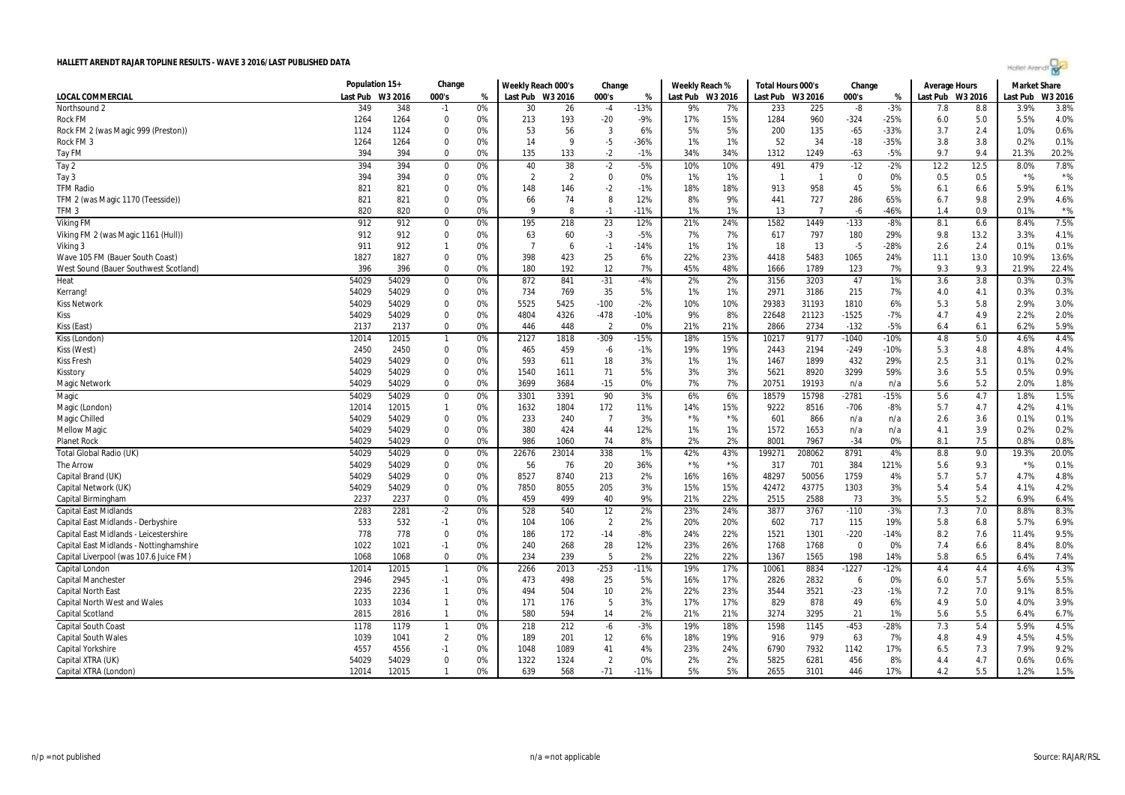| West Sound (Bauer Southwest Scotland)   | 396   | 396   | $\Omega$                 | 0% | 180   | 192   | 12             | 7%     | 45%   | 48%   | 1666   | 1789   | 123      | 7%     | 9.3 | 9.3 | 21.9% | 22.4% |
|-----------------------------------------|-------|-------|--------------------------|----|-------|-------|----------------|--------|-------|-------|--------|--------|----------|--------|-----|-----|-------|-------|
| <b>Heat</b>                             | 54029 | 54029 | $\Omega$                 | 0% | 872   | 841   | $-31$          | $-4%$  | 2%    | 2%    | 3156   | 3203   | 47       | 1%     | 3.6 | 3.8 | 0.3%  | 0.3%  |
| Kerrang!                                | 54029 | 54029 | $\Omega$                 | 0% | 734   | 769   | 35             | 5%     | 1%    | 1%    | 2971   | 3186   | 215      | 7%     | 4.0 | 4.1 | 0.3%  | 0.3%  |
| <b>Kiss Network</b>                     | 54029 | 54029 | $\Omega$                 | 0% | 5525  | 5425  | $-100$         | $-2%$  | 10%   | 10%   | 29383  | 31193  | 1810     | 6%     | 5.3 | 5.8 | 2.9%  | 3.0%  |
| Kiss                                    | 54029 | 54029 | $\theta$                 | 0% | 4804  | 4326  | $-478$         | $-10%$ | 9%    | 8%    | 22648  | 21123  | $-1525$  | $-7%$  | 4.7 | 4.9 | 2.2%  | 2.0%  |
| Kiss (East)                             | 2137  | 2137  | $\mathbf 0$              | 0% | 446   | 448   | $\overline{2}$ | 0%     | 21%   | 21%   | 2866   | 2734   | $-132$   | $-5%$  | 6.4 | 6.1 | 6.2%  | 5.9%  |
| Kiss (London)                           | 12014 | 12015 | $\overline{1}$           | 0% | 2127  | 1818  | $-309$         | $-15%$ | 18%   | 15%   | 10217  | 9177   | $-1040$  | $-10%$ | 4.8 | 5.0 | 4.6%  | 4.4%  |
| Kiss (West)                             | 2450  | 2450  | $\Omega$                 | 0% | 465   | 459   | -6             | $-1%$  | 19%   | 19%   | 2443   | 2194   | $-249$   | $-10%$ | 5.3 | 4.8 | 4.8%  | 4.4%  |
| <b>Kiss Fresh</b>                       | 54029 | 54029 | $\Omega$                 | 0% | 593   | 611   | 18             | 3%     | 1%    | 1%    | 1467   | 1899   | 432      | 29%    | 2.5 | 3.1 | 0.1%  | 0.2%  |
| Kisstory                                | 54029 | 54029 | $\mathbf 0$              | 0% | 1540  | 1611  | 71             | 5%     | 3%    | 3%    | 5621   | 8920   | 3299     | 59%    | 3.6 | 5.5 | 0.5%  | 0.9%  |
| <b>Magic Network</b>                    | 54029 | 54029 | $\Omega$                 | 0% | 3699  | 3684  | $-15$          | 0%     | 7%    | 7%    | 20751  | 19193  | n/a      | n/a    | 5.6 | 5.2 | 2.0%  | 1.8%  |
| <b>Magic</b>                            | 54029 | 54029 | 0                        | 0% | 3301  | 3391  | 90             | 3%     | 6%    | 6%    | 18579  | 15798  | $-2781$  | $-15%$ | 5.6 | 4.7 | 1.8%  | 1.5%  |
| Magic (London)                          | 12014 | 12015 | -1                       | 0% | 1632  | 1804  | 172            | 11%    | 14%   | 15%   | 9222   | 8516   | $-706$   | $-8%$  | 5.7 | 4.7 | 4.2%  | 4.1%  |
| Magic Chilled                           | 54029 | 54029 | 0                        | 0% | 233   | 240   | $\overline{7}$ | 3%     | $*$ % | $*$ % | 601    | 866    | n/a      | n/a    | 2.6 | 3.6 | 0.1%  | 0.1%  |
| <b>Mellow Magic</b>                     | 54029 | 54029 | $\mathbf 0$              | 0% | 380   | 424   | 44             | 12%    | 1%    | 1%    | 1572   | 1653   | n/a      | n/a    | 4.1 | 3.9 | 0.2%  | 0.2%  |
| <b>Planet Rock</b>                      | 54029 | 54029 | $\Omega$                 | 0% | 986   | 1060  | 74             | 8%     | 2%    | 2%    | 8001   | 7967   | $-34$    | 0%     | 8.1 | 7.5 | 0.8%  | 0.8%  |
| Total Global Radio (UK)                 | 54029 | 54029 | $\Omega$                 | 0% | 22676 | 23014 | 338            | 1%     | 42%   | 43%   | 199271 | 208062 | 8791     | 4%     | 8.8 | 9.0 | 19.3% | 20.0% |
| The Arrow                               | 54029 | 54029 | $\Omega$                 | 0% | 56    | 76    | 20             | 36%    | $*$ % | $*$ % | 317    | 701    | 384      | 121%   | 5.6 | 9.3 | $*$ % | 0.1%  |
| Capital Brand (UK)                      | 54029 | 54029 | $\Omega$                 | 0% | 8527  | 8740  | 213            | 2%     | 16%   | 16%   | 48297  | 50056  | 1759     | 4%     | 5.7 | 5.7 | 4.7%  | 4.8%  |
| Capital Network (UK)                    | 54029 | 54029 | $\Omega$                 | 0% | 7850  | 8055  | 205            | 3%     | 15%   | 15%   | 42472  | 43775  | 1303     | 3%     | 5.4 | 5.4 | 4.1%  | 4.2%  |
| Capital Birmingham                      | 2237  | 2237  | $\Omega$                 | 0% | 459   | 499   | 40             | 9%     | 21%   | 22%   | 2515   | 2588   | 73       | 3%     | 5.5 | 5.2 | 6.9%  | 6.4%  |
| <b>Capital East Midlands</b>            | 2283  | 2281  | $-2$                     | 0% | 528   | 540   | 12             | 2%     | 23%   | 24%   | 3877   | 3767   | $-110$   | $-3%$  | 7.3 | 7.0 | 8.8%  | 8.3%  |
| Capital East Midlands - Derbyshire      | 533   | 532   | $-1$                     | 0% | 104   | 106   | $\overline{2}$ | 2%     | 20%   | 20%   | 602    | 717    | 115      | 19%    | 5.8 | 6.8 | 5.7%  | 6.9%  |
| Capital East Midlands - Leicestershire  | 778   | 778   | $\mathbf 0$              | 0% | 186   | 172   | $-14$          | $-8%$  | 24%   | 22%   | 1521   | 1301   | $-220$   | $-14%$ | 8.2 | 7.6 | 11.4% | 9.5%  |
| Capital East Midlands - Nottinghamshire | 1022  | 1021  | $-1$                     | 0% | 240   | 268   | 28             | 12%    | 23%   | 26%   | 1768   | 1768   | $\Omega$ | 0%     | 7.4 | 6.6 | 8.4%  | 8.0%  |
| Capital Liverpool (was 107.6 Juice FM)  | 1068  | 1068  | $\Omega$                 | 0% | 234   | 239   | 5              | 2%     | 22%   | 22%   | 1367   | 1565   | 198      | 14%    | 5.8 | 6.5 | 6.4%  | 7.4%  |
| Capital London                          | 12014 | 12015 | $\overline{\phantom{0}}$ | 0% | 2266  | 2013  | $-253$         | $-11%$ | 19%   | 17%   | 10061  | 8834   | $-1227$  | $-12%$ | 4.4 | 4.4 | 4.6%  | 4.3%  |
| <b>Capital Manchester</b>               | 2946  | 2945  | $-1$                     | 0% | 473   | 498   | 25             | 5%     | 16%   | 17%   | 2826   | 2832   | 6        | 0%     | 6.0 | 5.7 | 5.6%  | 5.5%  |
| <b>Capital North East</b>               | 2235  | 2236  | $\overline{1}$           | 0% | 494   | 504   | 10             | 2%     | 22%   | 23%   | 3544   | 3521   | $-23$    | $-1%$  | 7.2 | 7.0 | 9.1%  | 8.5%  |
| <b>Capital North West and Wales</b>     | 1033  | 1034  | $\overline{1}$           | 0% | 171   | 176   | 5              | 3%     | 17%   | 17%   | 829    | 878    | 49       | 6%     | 4.9 | 5.0 | 4.0%  | 3.9%  |
| Capital Scotland                        | 2815  | 2816  | -1                       | 0% | 580   | 594   | 14             | 2%     | 21%   | 21%   | 3274   | 3295   | 21       | 1%     | 5.6 | 5.5 | 6.4%  | 6.7%  |
| <b>Capital South Coast</b>              | 1178  | 1179  | -1                       | 0% | 218   | 212   | -6             | $-3%$  | 19%   | 18%   | 1598   | 1145   | $-453$   | $-28%$ | 7.3 | 5.4 | 5.9%  | 4.5%  |
| <b>Capital South Wales</b>              | 1039  | 1041  | $\overline{2}$           | 0% | 189   | 201   | 12             | 6%     | 18%   | 19%   | 916    | 979    | 63       | 7%     | 4.8 | 4.9 | 4.5%  | 4.5%  |
| Capital Yorkshire                       | 4557  | 4556  | $-1$                     | 0% | 1048  | 1089  | 41             | 4%     | 23%   | 24%   | 6790   | 7932   | 1142     | 17%    | 6.5 | 7.3 | 7.9%  | 9.2%  |
| Capital XTRA (UK)                       | 54029 | 54029 | $\mathbf 0$              | 0% | 1322  | 1324  | $\overline{2}$ | 0%     | 2%    | 2%    | 5825   | 6281   | 456      | 8%     | 4.4 | 4.7 | 0.6%  | 0.6%  |
|                                         | 12014 | 12015 | $\overline{1}$           | 0% | 639   | 568   | $-71$          | $-11%$ | 5%    | 5%    | 2655   | 3101   | 446      | 17%    | 4.2 | 5.5 | 1.2%  | 1.5%  |

LOCAL COMMERCIAL Last Pub W3 2016 000's % | Last Pub W3 2016 000's % | Last Pub W3 2016 000's % | Last Pub W3 2016 Last Pub W3 2016

Northsound 2 349 348 -1 0% | 30 26 -4 -13% | 9% 7% | 233 225 -8 -3% | 7.8 8.8 | 3.9% 3.8% Rock FM 1264 0 0% | 213 193 -20 -9% | 17% 15% | 1284 960 -324 -25% | 6.0 5.0 5.5% 4.0% Rock FM 2 (was Magic 999 (Preston)) 1124 10 53 56 3 5% 200 135 65 -33% 3.7 2.4 1.0% 0.6%<br>Rock FM 3 1264 10 0% 14 9 -5 -36% 1% Rock FM 3 1264 0 0% | 14 9 -5 -36% | 1% 1% | 52 34 -18 -35% | 3.8 3.8 0.2% 0.1% Tay FM 394 394 0 0% 135 133 -2 -1% 34% 34% 1312 1249 -63 -5% 9.7 9.4 21.3% 20.2% Tay 2 394 0 0% | 40 38 -2 -5% | 10% 10% | 491 479 -12 -2% | 12.2 12.5 | 8.0% 7.8% Tay 3 394 0 0% | 2 2 0 0% | 1 1 0 0% | 0.5 0.5 | \*% \*% TFM Radio 821 821 0 0% | 148 146 -2 -1% | 18% | 913 958 45 5% | 6.1 6.6 | 5.9% 6.1% TFM 2 (was Magic 1170 (Teesside)) 821 821 0 0% ┃ 66 74 8 12% ┃ 8% 441 727 286 65% ┃ 6.7 9.8 ┃ 2.9% 4.6% TFM 3 820 820 0 0% | 9 8 -1 -11% | 1% 1% | 13 7 -6 -46% | 1.4 0.9 | 0.1% \*% Viking FM 912 0 0% | 195 218 23 12% | 24% | 1582 1449 -133 -8% | 8.1 6.6 | 8.4% 7.5% Viking FM 2 (was Magic 1161 (Hull)) 912 912 0 0% 63 60 -3 -5% 7% 7% 617 797 180 29% 9.8 13.2 3.3% 4.1% Viking 3 911 912 1 0% | 7 6 -1 -14% | 1% 1% | 18 13 -5 -28% | 2.6 2.4 | 0.1% 0.1% Wave 105 FM (Bauer South Coast) 1827 0 0% | 398 423 25 6% | 22% 23% | 4418 5483 1065 24% | 11.1 13.0 | 10.9% 13.6%

**Population 15+ Change Weekly Reach 000's Change Weekly Reach % Total Hours 000's Change Average Hours Market Share**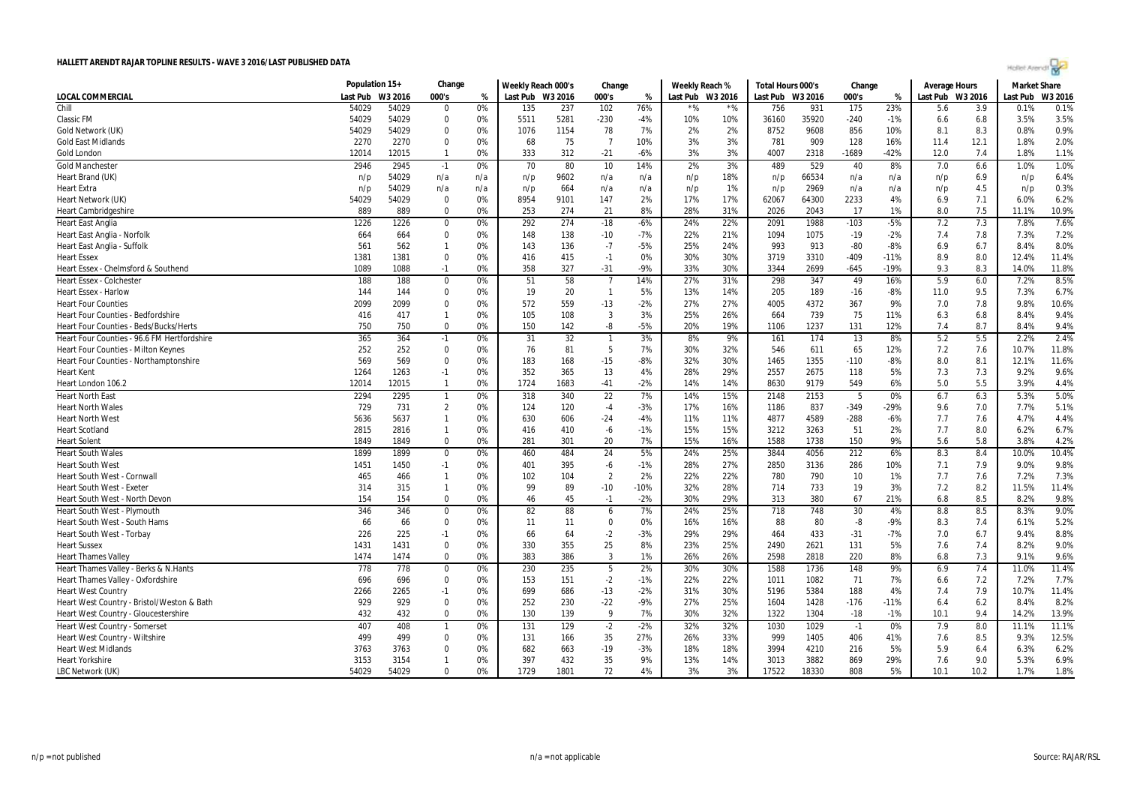| Чh. | гĦ | $\sim$ |
|-----|----|--------|
|     |    |        |

|                                             | Population 15+ |         | Change         |     | Weekly Reach 000's |      | Change         |        | Weekly Reach % |                  | Total Hours 000's |       | Change  |        | <b>Average Hours</b> |      | <b>Market Share</b> |         |
|---------------------------------------------|----------------|---------|----------------|-----|--------------------|------|----------------|--------|----------------|------------------|-------------------|-------|---------|--------|----------------------|------|---------------------|---------|
| LOCAL COMMERCIAL                            | Last Pub       | W3 2016 | 000's          | %   | Last Pub W3 2016   |      | 000's          | %      |                | Last Pub W3 2016 | Last Pub W3 2016  |       | 000's   | %      | Last Pub W3 2016     |      | Last Pub            | W3 2016 |
| Chill                                       | 54029          | 54029   | $\Omega$       | 0%  | 135                | 237  | 102            | 76%    | *%             | $*$ %            | 756               | 931   | 175     | 23%    | 5.6                  | 3.9  | 0.1%                | 0.1%    |
| <b>Classic FM</b>                           | 54029          | 54029   | $\Omega$       | 0%  | 5511               | 5281 | $-230$         | $-4%$  | 10%            | 10%              | 36160             | 35920 | $-240$  | $-1%$  | 6.6                  | 6.8  | 3.5%                | 3.5%    |
| Gold Network (UK)                           | 54029          | 54029   | $\Omega$       | 0%  | 1076               | 1154 | 78             | 7%     | 2%             | 2%               | 8752              | 9608  | 856     | 10%    | 8.1                  | 8.3  | 0.8%                | 0.9%    |
| <b>Gold East Midlands</b>                   | 2270           | 2270    | $\Omega$       | 0%  | 68                 | 75   | $\overline{7}$ | 10%    | 3%             | 3%               | 781               | 909   | 128     | 16%    | 11.4                 | 12.1 | 1.8%                | 2.0%    |
| Gold London                                 | 12014          | 12015   | $\mathbf 1$    | 0%  | 333                | 312  | $-21$          | $-6%$  | 3%             | 3%               | 4007              | 2318  | $-1689$ | $-42%$ | 12.0                 | 7.4  | 1.8%                | 1.1%    |
| <b>Gold Manchester</b>                      | 2946           | 2945    | $-1$           | 0%  | 70                 | 80   | 10             | 14%    | 2%             | 3%               | 489               | 529   | 40      | 8%     | 7.0                  | 6.6  | 1.0%                | 1.0%    |
| Heart Brand (UK)                            | n/p            | 54029   | n/a            | n/a | n/p                | 9602 | n/a            | n/a    | n/p            | 18%              | n/p               | 66534 | n/a     | n/a    | n/p                  | 6.9  | n/p                 | 6.4%    |
| <b>Heart Extra</b>                          | n/p            | 54029   | n/a            | n/a | n/p                | 664  | n/a            | n/a    | n/p            | 1%               | n/p               | 2969  | n/a     | n/a    | n/p                  | 4.5  | n/p                 | 0.3%    |
| Heart Network (UK)                          | 54029          | 54029   | $\mathbf 0$    | 0%  | 8954               | 9101 | 147            | 2%     | 17%            | 17%              | 62067             | 64300 | 2233    | 4%     | 6.9                  | 7.1  | 6.0%                | 6.2%    |
| <b>Heart Cambridgeshire</b>                 | 889            | 889     | $\Omega$       | 0%  | 253                | 274  | 21             | 8%     | 28%            | 31%              | 2026              | 2043  | 17      | 1%     | 8.0                  | 7.5  | 11.1%               | 10.9%   |
| <b>Heart East Anglia</b>                    | 1226           | 1226    | $\mathbf 0$    | 0%  | 292                | 274  | $-18$          | $-6%$  | 24%            | 22%              | 2091              | 1988  | $-103$  | $-5%$  | 7.2                  | 7.3  | 7.8%                | 7.6%    |
| Heart East Anglia - Norfolk                 | 664            | 664     | $\Omega$       | 0%  | 148                | 138  | $-10$          | $-7%$  | 22%            | 21%              | 1094              | 1075  | $-19$   | $-2%$  | 7.4                  | 7.8  | 7.3%                | 7.2%    |
| Heart East Anglia - Suffolk                 | 561            | 562     | $\mathbf 1$    | 0%  | 143                | 136  | $-7$           | $-5%$  | 25%            | 24%              | 993               | 913   | $-80$   | $-8%$  | 6.9                  | 6.7  | 8.4%                | 8.0%    |
| <b>Heart Essex</b>                          | 1381           | 1381    | $\Omega$       | 0%  | 416                | 415  | $-1$           | 0%     | 30%            | 30%              | 3719              | 3310  | $-409$  | $-11%$ | 8.9                  | 8.0  | 12.4%               | 11.4%   |
| Heart Essex - Chelmsford & Southend         | 1089           | 1088    | $-1$           | 0%  | 358                | 327  | $-31$          | $-9%$  | 33%            | 30%              | 3344              | 2699  | $-645$  | $-19%$ | 9.3                  | 8.3  | 14.0%               | 11.8%   |
| <b>Heart Essex - Colchester</b>             | 188            | 188     | $\mathbf 0$    | 0%  | 51                 | 58   | $\overline{7}$ | 14%    | 27%            | 31%              | 298               | 347   | 49      | 16%    | 5.9                  | 6.0  | 7.2%                | 8.5%    |
| <b>Heart Essex - Harlow</b>                 | 144            | 144     | $\mathbf 0$    | 0%  | 19                 | 20   | $\mathbf{1}$   | 5%     | 13%            | 14%              | 205               | 189   | $-16$   | $-8%$  | 11.0                 | 9.5  | 7.3%                | 6.7%    |
| <b>Heart Four Counties</b>                  | 2099           | 2099    | $\mathbf 0$    | 0%  | 572                | 559  | $-13$          | $-2%$  | 27%            | 27%              | 4005              | 4372  | 367     | 9%     | 7.0                  | 7.8  | 9.8%                | 10.6%   |
| <b>Heart Four Counties - Bedfordshire</b>   | 416            | 417     | $\mathbf{1}$   | 0%  | 105                | 108  | 3              | 3%     | 25%            | 26%              | 664               | 739   | 75      | 11%    | 6.3                  | 6.8  | 8.4%                | 9.4%    |
| Heart Four Counties - Beds/Bucks/Herts      | 750            | 750     | $\Omega$       | 0%  | 150                | 142  | -8             | $-5%$  | 20%            | 19%              | 1106              | 1237  | 131     | 12%    | 7.4                  | 8.7  | 8.4%                | 9.4%    |
| Heart Four Counties - 96.6 FM Hertfordshire | 365            | 364     | $-1$           | 0%  | 31                 | 32   | $\overline{1}$ | 3%     | 8%             | 9%               | 161               | 174   | 13      | 8%     | 5.2                  | 5.5  | 2.2%                | 2.4%    |
| Heart Four Counties - Milton Keynes         | 252            | 252     | $\Omega$       | 0%  | 76                 | 81   | 5              | 7%     | 30%            | 32%              | 546               | 611   | 65      | 12%    | 7.2                  | 7.6  | 10.7%               | 11.8%   |
| Heart Four Counties - Northamptonshire      | 569            | 569     | $\Omega$       | 0%  | 183                | 168  | $-15$          | $-8%$  | 32%            | 30%              | 1465              | 1355  | $-110$  | $-8%$  | 8.0                  | 8.1  | 12.1%               | 11.6%   |
| <b>Heart Kent</b>                           | 1264           | 1263    | $-1$           | 0%  | 352                | 365  | 13             | 4%     | 28%            | 29%              | 2557              | 2675  | 118     | 5%     | 7.3                  | 7.3  | 9.2%                | 9.6%    |
| Heart London 106.2                          | 12014          | 12015   | $\mathbf{1}$   | 0%  | 1724               | 1683 | $-41$          | $-2%$  | 14%            | 14%              | 8630              | 9179  | 549     | 6%     | 5.0                  | 5.5  | 3.9%                | 4.4%    |
| <b>Heart North East</b>                     | 2294           | 2295    | $\mathbf{1}$   | 0%  | 318                | 340  | 22             | 7%     | 14%            | 15%              | 2148              | 2153  | 5       | 0%     | 6.7                  | 6.3  | 5.3%                | 5.0%    |
| <b>Heart North Wales</b>                    | 729            | 731     | $\overline{2}$ | 0%  | 124                | 120  | $-4$           | $-3%$  | 17%            | 16%              | 1186              | 837   | $-349$  | $-29%$ | 9.6                  | 7.0  | 7.7%                | 5.1%    |
| <b>Heart North West</b>                     | 5636           | 5637    | $\mathbf{1}$   | 0%  | 630                | 606  | $-24$          | $-4%$  | 11%            | 11%              | 4877              | 4589  | $-288$  | $-6%$  | 7.7                  | 7.6  | 4.7%                | 4.4%    |
| <b>Heart Scotland</b>                       | 2815           | 2816    | -1             | 0%  | 416                | 410  | -6             | $-1%$  | 15%            | 15%              | 3212              | 3263  | 51      | 2%     | 7.7                  | 8.0  | 6.2%                | 6.7%    |
| <b>Heart Solent</b>                         | 1849           | 1849    | $\Omega$       | 0%  | 281                | 301  | 20             | 7%     | 15%            | 16%              | 1588              | 1738  | 150     | 9%     | 5.6                  | 5.8  | 3.8%                | 4.2%    |
| <b>Heart South Wales</b>                    | 1899           | 1899    | $\mathbf 0$    | 0%  | 460                | 484  | 24             | 5%     | 24%            | 25%              | 3844              | 4056  | 212     | 6%     | 8.3                  | 8.4  | 10.0%               | 10.4%   |
| <b>Heart South West</b>                     | 1451           | 1450    | $-1$           | 0%  | 401                | 395  | $-6$           | $-1%$  | 28%            | 27%              | 2850              | 3136  | 286     | 10%    | 7.1                  | 7.9  | 9.0%                | 9.8%    |
| Heart South West - Cornwal                  | 465            | 466     | $\mathbf{1}$   | 0%  | 102                | 104  | $\overline{2}$ | 2%     | 22%            | 22%              | 780               | 790   | 10      | 1%     | 7.7                  | 7.6  | 7.2%                | 7.3%    |
| <b>Heart South West - Exeter</b>            | 314            | 315     | $\mathbf{1}$   | 0%  | 99                 | 89   | $-10$          | $-10%$ | 32%            | 28%              | 714               | 733   | 19      | 3%     | 7.2                  | 8.2  | 11.5%               | 11.4%   |
| Heart South West - North Devon              | 154            | 154     | $\Omega$       | 0%  | 46                 | 45   | $-1$           | $-2%$  | 30%            | 29%              | 313               | 380   | 67      | 21%    | 6.8                  | 8.5  | 8.2%                | 9.8%    |
| Heart South West - Plymouth                 | 346            | 346     | $\mathbf 0$    | 0%  | 82                 | 88   | 6              | 7%     | 24%            | 25%              | 718               | 748   | 30      | 4%     | 8.8                  | 8.5  | 8.3%                | 9.0%    |
| Heart South West - South Hams               | 66             | 66      | $\Omega$       | 0%  | 11                 | 11   | $\mathbf 0$    | 0%     | 16%            | 16%              | 88                | 80    | -8      | $-9%$  | 8.3                  | 7.4  | 6.1%                | 5.2%    |
| Heart South West - Torbay                   | 226            | 225     | $-1$           | 0%  | 66                 | 64   | $-2$           | $-3%$  | 29%            | 29%              | 464               | 433   | $-31$   | $-7%$  | 7.0                  | 6.7  | 9.4%                | 8.8%    |
| <b>Heart Sussex</b>                         | 1431           | 1431    | $\Omega$       | 0%  | 330                | 355  | 25             | 8%     | 23%            | 25%              | 2490              | 2621  | 131     | 5%     | 7.6                  | 7.4  | 8.2%                | 9.0%    |
| <b>Heart Thames Valley</b>                  | 1474           | 1474    | $\Omega$       | 0%  | 383                | 386  | 3              | 1%     | 26%            | 26%              | 2598              | 2818  | 220     | 8%     | 6.8                  | 7.3  | 9.1%                | 9.6%    |
| Heart Thames Valley - Berks & N.Hants       | 778            | 778     | $\Omega$       | 0%  | 230                | 235  | 5              | 2%     | 30%            | 30%              | 1588              | 1736  | 148     | 9%     | 6.9                  | 7.4  | 11.0%               | 11.4%   |
| Heart Thames Valley - Oxfordshire           | 696            | 696     | $\Omega$       | 0%  | 153                | 151  | $-2$           | $-1%$  | 22%            | 22%              | 1011              | 1082  | 71      | 7%     | 6.6                  | 7.2  | 7.2%                | 7.7%    |
| <b>Heart West Country</b>                   | 2266           | 2265    | $-1$           | 0%  | 699                | 686  | $-13$          | $-2%$  | 31%            | 30%              | 5196              | 5384  | 188     | 4%     | 7.4                  | 7.9  | 10.7%               | 11.4%   |
| Heart West Country - Bristol/Weston & Bath  | 929            | 929     | $\Omega$       | 0%  | 252                | 230  | $-22$          | $-9%$  | 27%            | 25%              | 1604              | 1428  | $-176$  | $-11%$ | 6.4                  | 6.2  | 8.4%                | 8.2%    |
| Heart West Country - Gloucestershire        | 432            | 432     | $\Omega$       | 0%  | 130                | 139  | 9              | 7%     | 30%            | 32%              | 1322              | 1304  | $-18$   | $-1%$  | 10.1                 | 9.4  | 14.2%               | 13.9%   |
| Heart West Country - Somerset               | 407            | 408     | $\mathbf 1$    | 0%  | 131                | 129  | $-2$           | $-2%$  | 32%            | 32%              | 1030              | 1029  | $-1$    | 0%     | 7.9                  | 8.0  | 11.1%               | 11.1%   |
| Heart West Country - Wiltshire              | 499            | 499     | $\Omega$       | 0%  | 131                | 166  | 35             | 27%    | 26%            | 33%              | 999               | 1405  | 406     | 41%    | 7.6                  | 8.5  | 9.3%                | 12.5%   |
| <b>Heart West Midlands</b>                  | 3763           | 3763    | $\mathbf 0$    | 0%  | 682                | 663  | $-19$          | $-3%$  | 18%            | 18%              | 3994              | 4210  | 216     | 5%     | 5.9                  | 6.4  | 6.3%                | 6.2%    |
| <b>Heart Yorkshire</b>                      | 3153           | 3154    | $\mathbf 1$    | 0%  | 397                | 432  | 35             | 9%     | 13%            | 14%              | 3013              | 3882  | 869     | 29%    | 7.6                  | 9.0  | 5.3%                | 6.9%    |
| LBC Network (UK)                            | 54029          | 54029   | $\Omega$       | 0%  | 1729               | 1801 | 72             | 4%     | 3%             | 3%               | 17522             | 18330 | 808     | 5%     | 10.1                 | 10.2 | 1.7%                | 1.8%    |
|                                             |                |         |                |     |                    |      |                |        |                |                  |                   |       |         |        |                      |      |                     |         |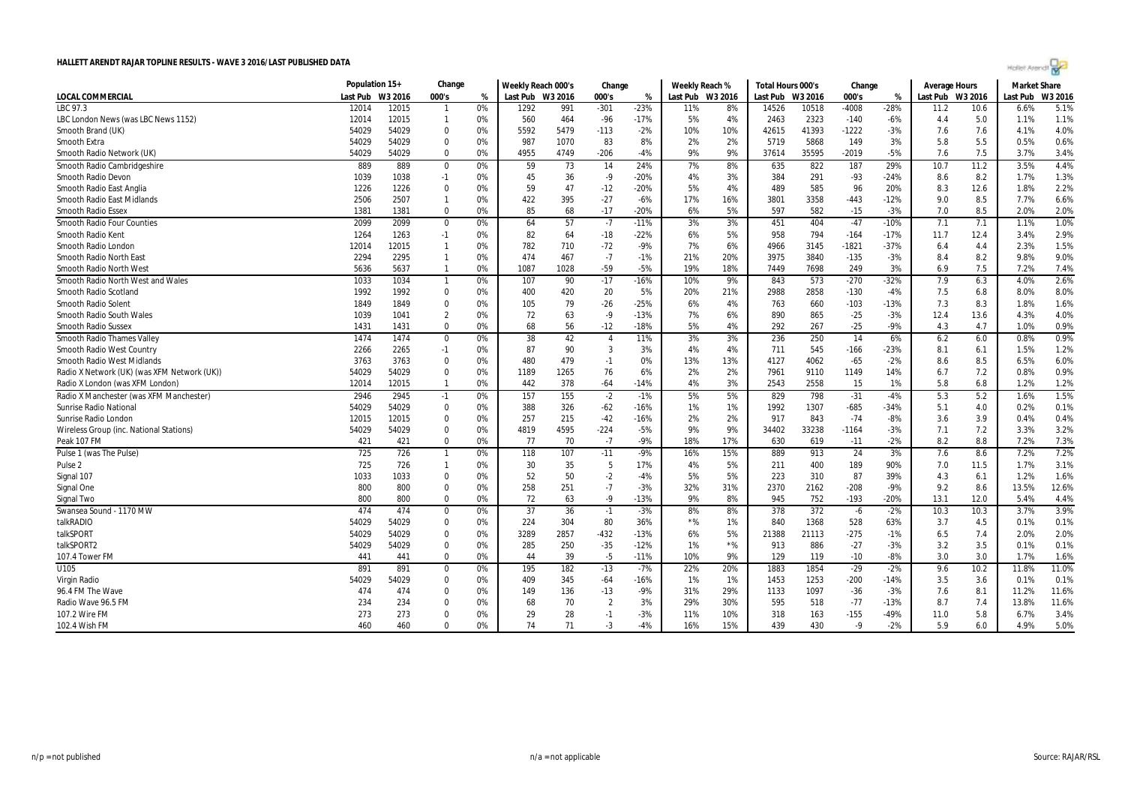| $\sim$ |  |
|--------|--|
|        |  |
|        |  |

|                                             | Population 15+ |         | Change         |    | Weekly Reach 000's |      | Change         |        | Weekly Reach % |                  | Total Hours 000's |         | Change  |        | Average Hours    |      | <b>Market Share</b> |         |
|---------------------------------------------|----------------|---------|----------------|----|--------------------|------|----------------|--------|----------------|------------------|-------------------|---------|---------|--------|------------------|------|---------------------|---------|
| LOCAL COMMERCIAL                            | Last Pub       | W3 2016 | 000's          | %  | Last Pub W3 2016   |      | 000's          | %      |                | Last Pub W3 2016 | Last Pub          | W3 2016 | 000's   | %      | Last Pub W3 2016 |      | Last Pub            | W3 2016 |
| LBC 97.3                                    | 12014          | 12015   | $\mathbf{1}$   | 0% | 1292               | 991  | $-301$         | $-23%$ | 11%            | 8%               | 14526             | 10518   | $-4008$ | $-28%$ | 11.2             | 10.6 | 6.6%                | 5.1%    |
| LBC London News (was LBC News 1152)         | 12014          | 12015   | $\mathbf{1}$   | 0% | 560                | 464  | $-96$          | $-17%$ | 5%             | 4%               | 2463              | 2323    | $-140$  | $-6%$  | 4.4              | 5.0  | 1.1%                | 1.1%    |
| Smooth Brand (UK)                           | 54029          | 54029   | $\Omega$       | 0% | 5592               | 5479 | $-113$         | $-2%$  | 10%            | 10%              | 42615             | 41393   | $-1222$ | $-3%$  | 7.6              | 7.6  | 4.1%                | 4.0%    |
| Smooth Extra                                | 54029          | 54029   | $\Omega$       | 0% | 987                | 1070 | 83             | 8%     | 2%             | 2%               | 5719              | 5868    | 149     | 3%     | 5.8              | 5.5  | 0.5%                | 0.6%    |
| Smooth Radio Network (UK)                   | 54029          | 54029   | $\Omega$       | 0% | 4955               | 4749 | $-206$         | $-4%$  | 9%             | 9%               | 37614             | 35595   | $-2019$ | $-5%$  | 7.6              | 7.5  | 3.7%                | 3.4%    |
| Smooth Radio Cambridgeshire                 | 889            | 889     | $\mathbf 0$    | 0% | 59                 | 73   | 14             | 24%    | 7%             | 8%               | 635               | 822     | 187     | 29%    | 10.7             | 11.2 | 3.5%                | 4.4%    |
| Smooth Radio Devon                          | 1039           | 1038    | $-1$           | 0% | 45                 | 36   | $-9$           | $-20%$ | 4%             | 3%               | 384               | 291     | $-93$   | $-24%$ | 8.6              | 8.2  | 1.7%                | 1.3%    |
| Smooth Radio East Anglia                    | 1226           | 1226    | $\Omega$       | 0% | 59                 | 47   | $-12$          | $-20%$ | 5%             | 4%               | 489               | 585     | 96      | 20%    | 8.3              | 12.6 | 1.8%                | 2.2%    |
| Smooth Radio East Midlands                  | 2506           | 2507    | $\mathbf{1}$   | 0% | 422                | 395  | $-27$          | $-6%$  | 17%            | 16%              | 3801              | 3358    | $-443$  | $-12%$ | 9.0              | 8.5  | 7.7%                | 6.6%    |
| <b>Smooth Radio Essex</b>                   | 1381           | 1381    | $\Omega$       | 0% | 85                 | 68   | $-17$          | $-20%$ | 6%             | 5%               | 597               | 582     | $-15$   | $-3%$  | 7.0              | 8.5  | 2.0%                | 2.0%    |
| <b>Smooth Radio Four Counties</b>           | 2099           | 2099    | $\mathbf 0$    | 0% | 64                 | 57   | $-7$           | $-11%$ | 3%             | 3%               | 451               | 404     | $-47$   | $-10%$ | 7.1              | 7.1  | 1.1%                | 1.0%    |
| Smooth Radio Kent                           | 1264           | 1263    | $-1$           | 0% | 82                 | 64   | $-18$          | $-22%$ | 6%             | 5%               | 958               | 794     | $-164$  | $-17%$ | 11.7             | 12.4 | 3.4%                | 2.9%    |
| Smooth Radio London                         | 12014          | 12015   | $\mathbf 1$    | 0% | 782                | 710  | $-72$          | $-9%$  | 7%             | 6%               | 4966              | 3145    | -1821   | $-37%$ | 6.4              | 4.4  | 2.3%                | 1.5%    |
| <b>Smooth Radio North East</b>              | 2294           | 2295    | $\mathbf{1}$   | 0% | 474                | 467  | $-7$           | $-1%$  | 21%            | 20%              | 3975              | 3840    | $-135$  | $-3%$  | 8.4              | 8.2  | 9.8%                | 9.0%    |
| <b>Smooth Radio North West</b>              | 5636           | 5637    | $\mathbf{1}$   | 0% | 1087               | 1028 | $-59$          | $-5%$  | 19%            | 18%              | 7449              | 7698    | 249     | 3%     | 6.9              | 7.5  | 7.2%                | 7.4%    |
| Smooth Radio North West and Wales           | 1033           | 1034    | $\mathbf{1}$   | 0% | 107                | 90   | $-17$          | $-16%$ | 10%            | 9%               | 843               | 573     | $-270$  | $-32%$ | 7.9              | 6.3  | 4.0%                | 2.6%    |
| Smooth Radio Scotland                       | 1992           | 1992    | $\mathbf 0$    | 0% | 400                | 420  | 20             | 5%     | 20%            | 21%              | 2988              | 2858    | $-130$  | $-4%$  | 7.5              | 6.8  | 8.0%                | 8.0%    |
| Smooth Radio Solent                         | 1849           | 1849    | $\mathbf 0$    | 0% | 105                | 79   | $-26$          | $-25%$ | 6%             | 4%               | 763               | 660     | $-103$  | $-13%$ | 7.3              | 8.3  | 1.8%                | 1.6%    |
| Smooth Radio South Wales                    | 1039           | 1041    | $\overline{2}$ | 0% | 72                 | 63   | -9             | $-13%$ | 7%             | 6%               | 890               | 865     | $-25$   | $-3%$  | 12.4             | 13.6 | 4.3%                | 4.0%    |
| <b>Smooth Radio Sussex</b>                  | 1431           | 1431    | $\Omega$       | 0% | 68                 | 56   | $-12$          | $-18%$ | 5%             | 4%               | 292               | 267     | $-25$   | $-9%$  | 4.3              | 4.7  | 1.0%                | 0.9%    |
| <b>Smooth Radio Thames Valley</b>           | 1474           | 1474    | $\mathbf 0$    | 0% | 38                 | 42   | $\overline{4}$ | 11%    | 3%             | 3%               | 236               | 250     | 14      | 6%     | 6.2              | 6.0  | 0.8%                | 0.9%    |
| Smooth Radio West Country                   | 2266           | 2265    | $-1$           | 0% | 87                 | 90   | 3              | 3%     | 4%             | 4%               | 711               | 545     | $-166$  | $-23%$ | 8.1              | 6.1  | 1.5%                | 1.2%    |
| Smooth Radio West Midlands                  | 3763           | 3763    | $\mathbf 0$    | 0% | 480                | 479  | $-1$           | 0%     | 13%            | 13%              | 4127              | 4062    | $-65$   | $-2%$  | 8.6              | 8.5  | 6.5%                | 6.0%    |
| Radio X Network (UK) (was XFM Network (UK)) | 54029          | 54029   | $\mathbf 0$    | 0% | 1189               | 1265 | 76             | 6%     | 2%             | 2%               | 7961              | 9110    | 1149    | 14%    | 6.7              | 7.2  | 0.8%                | 0.9%    |
| Radio X London (was XFM London)             | 12014          | 12015   | $\mathbf{1}$   | 0% | 442                | 378  | $-64$          | $-14%$ | 4%             | 3%               | 2543              | 2558    | 15      | 1%     | 5.8              | 6.8  | 1.2%                | 1.2%    |
| Radio X Manchester (was XFM Manchester)     | 2946           | 2945    | $-1$           | 0% | 157                | 155  | $-2$           | $-1%$  | 5%             | 5%               | 829               | 798     | $-31$   | $-4%$  | 5.3              | 5.2  | 1.6%                | 1.5%    |
| <b>Sunrise Radio National</b>               | 54029          | 54029   | $\mathbf 0$    | 0% | 388                | 326  | $-62$          | $-16%$ | 1%             | 1%               | 1992              | 1307    | $-685$  | $-34%$ | 5.1              | 4.0  | 0.2%                | 0.1%    |
| Sunrise Radio London                        | 12015          | 12015   | $\Omega$       | 0% | 257                | 215  | $-42$          | $-16%$ | 2%             | 2%               | 917               | 843     | $-74$   | $-8%$  | 3.6              | 3.9  | 0.4%                | 0.4%    |
| Wireless Group (inc. National Stations)     | 54029          | 54029   | $\Omega$       | 0% | 4819               | 4595 | $-224$         | $-5%$  | 9%             | 9%               | 34402             | 33238   | $-1164$ | $-3%$  | 7.1              | 7.2  | 3.3%                | 3.2%    |
| Peak 107 FM                                 | 421            | 421     | $\Omega$       | 0% | 77                 | 70   | $-7$           | $-9%$  | 18%            | 17%              | 630               | 619     | $-11$   | $-2%$  | 8.2              | 8.8  | 7.2%                | 7.3%    |
| Pulse 1 (was The Pulse)                     | 725            | 726     | $\overline{1}$ | 0% | 118                | 107  | $-11$          | $-9%$  | 16%            | 15%              | 889               | 913     | 24      | 3%     | 7.6              | 8.6  | 7.2%                | 7.2%    |
| Pulse <sub>2</sub>                          | 725            | 726     | $\mathbf{1}$   | 0% | 30                 | 35   | 5              | 17%    | 4%             | 5%               | 211               | 400     | 189     | 90%    | 7.0              | 11.5 | 1.7%                | 3.1%    |
| Signal 107                                  | 1033           | 1033    | $\Omega$       | 0% | 52                 | 50   | $-2$           | $-4%$  | 5%             | 5%               | 223               | 310     | 87      | 39%    | 4.3              | 6.1  | 1.2%                | 1.6%    |
| Signal One                                  | 800            | 800     | $\mathbf 0$    | 0% | 258                | 251  | $-7$           | $-3%$  | 32%            | 31%              | 2370              | 2162    | $-208$  | $-9%$  | 9.2              | 8.6  | 13.5%               | 12.6%   |
| Signal Two                                  | 800            | 800     | $\Omega$       | 0% | 72                 | 63   | $-9$           | $-13%$ | 9%             | 8%               | 945               | 752     | $-193$  | $-20%$ | 13.1             | 12.0 | 5.4%                | 4.4%    |
| Swansea Sound - 1170 MW                     | 474            | 474     | $\mathbf 0$    | 0% | 37                 | 36   | $-1$           | $-3%$  | 8%             | 8%               | 378               | 372     | $-6$    | $-2%$  | 10.3             | 10.3 | 3.7%                | 3.9%    |
| talkRADIO                                   | 54029          | 54029   | $\Omega$       | 0% | 224                | 304  | 80             | 36%    | ${}^{\star}\%$ | 1%               | 840               | 1368    | 528     | 63%    | 3.7              | 4.5  | 0.1%                | 0.1%    |
| talkSPORT                                   | 54029          | 54029   | $\Omega$       | 0% | 3289               | 2857 | $-432$         | $-13%$ | 6%             | 5%               | 21388             | 21113   | $-275$  | $-1%$  | 6.5              | 7.4  | 2.0%                | 2.0%    |
| talkSPORT2                                  | 54029          | 54029   | $\Omega$       | 0% | 285                | 250  | $-35$          | $-12%$ | 1%             | $*$ %            | 913               | 886     | $-27$   | $-3%$  | 3.2              | 3.5  | 0.1%                | 0.1%    |
| 107.4 Tower FM                              | 441            | 441     | $\Omega$       | 0% | 44                 | 39   | $-5$           | $-11%$ | 10%            | 9%               | 129               | 119     | $-10$   | $-8%$  | 3.0              | 3.0  | 1.7%                | 1.6%    |
| $\overline{U105}$                           | 891            | 891     | $\mathbf 0$    | 0% | 195                | 182  | $-13$          | $-7%$  | 22%            | 20%              | 1883              | 1854    | $-29$   | $-2%$  | 9.6              | 10.2 | 11.8%               | 11.0%   |
| Virgin Radio                                | 54029          | 54029   | $\Omega$       | 0% | 409                | 345  | $-64$          | $-16%$ | 1%             | 1%               | 1453              | 1253    | $-200$  | $-14%$ | 3.5              | 3.6  | 0.1%                | 0.1%    |
| 96.4 FM The Wave                            | 474            | 474     | $\Omega$       | 0% | 149                | 136  | $-13$          | $-9%$  | 31%            | 29%              | 1133              | 1097    | $-36$   | $-3%$  | 7.6              | 8.1  | 11.2%               | 11.6%   |
| Radio Wave 96.5 FM                          | 234            | 234     | $\Omega$       | 0% | 68                 | 70   | $\overline{2}$ | 3%     | 29%            | 30%              | 595               | 518     | $-77$   | $-13%$ | 8.7              | 7.4  | 13.8%               | 11.6%   |
| 107.2 Wire FM                               | 273            | 273     | $\Omega$       | 0% | 29                 | 28   | $-1$           | $-3%$  | 11%            | 10%              | 318               | 163     | $-155$  | $-49%$ | 11.0             | 5.8  | 6.7%                | 3.4%    |
| 102.4 Wish FM                               | 460            | 460     | $\Omega$       | 0% | 74                 | 71   | -3             | $-4%$  | 16%            | 15%              | 439               | 430     | $-9$    | $-2%$  | 5.9              | 6.0  | 4.9%                | 5.0%    |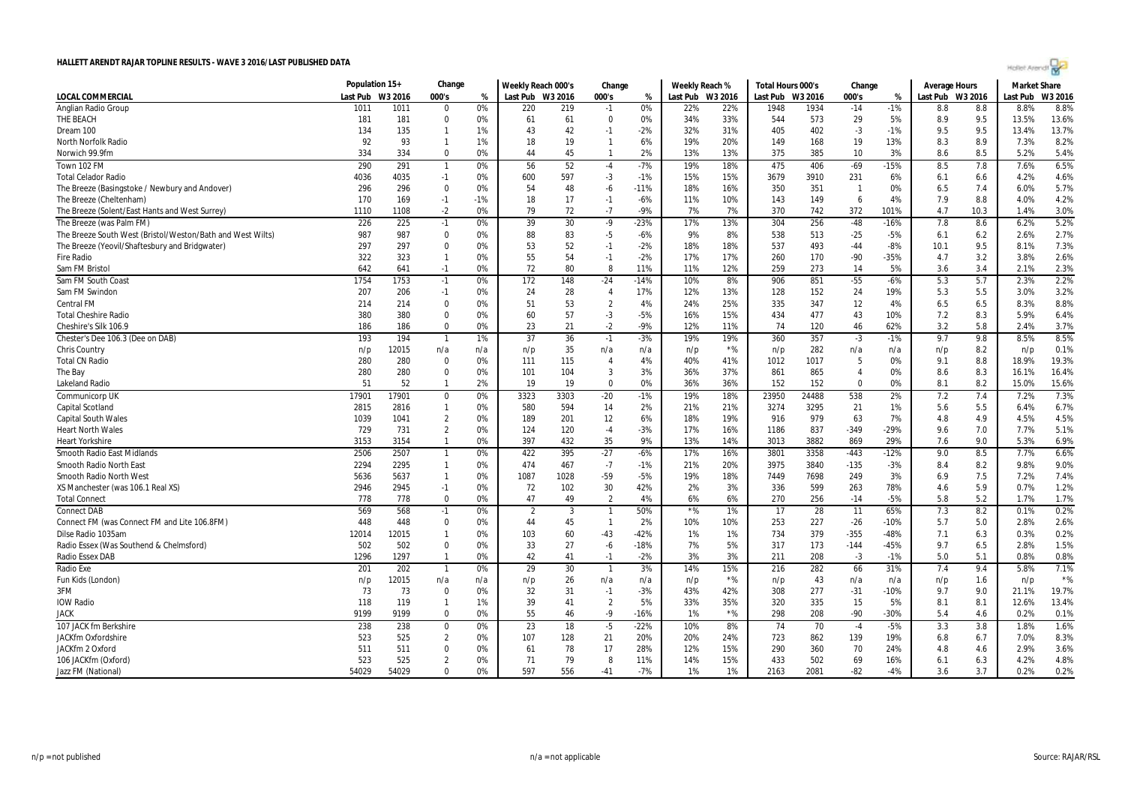|  | CH. |  |
|--|-----|--|
|  |     |  |

|                                                            | Population 15+ |         | Change         |       | Weekly Reach 000's |      | Change         |        | Weekly Reach % |                  | Total Hours 000's |         | Change         |        | <b>Average Hours</b> |      | <b>Market Share</b> |         |
|------------------------------------------------------------|----------------|---------|----------------|-------|--------------------|------|----------------|--------|----------------|------------------|-------------------|---------|----------------|--------|----------------------|------|---------------------|---------|
| <b>LOCAL COMMERCIAL</b>                                    | Last Pub       | W3 2016 | 000's          | %     | Last Pub W3 2016   |      | 000's          | %      |                | Last Pub W3 2016 | Last Pub          | W3 2016 | 000's          | %      | Last Pub W3 2016     |      | Last Pub            | W3 2016 |
| Anglian Radio Group                                        | 1011           | 1011    | $\Omega$       | 0%    | 220                | 219  | $-1$           | 0%     | 22%            | 22%              | 1948              | 1934    | $-14$          | $-1%$  | 8.8                  | 8.8  | 8.8%                | 8.8%    |
| THE BEACH                                                  | 181            | 181     | $\mathbf 0$    | 0%    | 61                 | 61   | $\mathbf 0$    | 0%     | 34%            | 33%              | 544               | 573     | 29             | 5%     | 8.9                  | 9.5  | 13.5%               | 13.6%   |
| Dream 100                                                  | 134            | 135     | $\mathbf{1}$   | 1%    | 43                 | 42   | $-1$           | $-2%$  | 32%            | 31%              | 405               | 402     | $-3$           | $-1%$  | 9.5                  | 9.5  | 13.4%               | 13.7%   |
| <b>North Norfolk Radio</b>                                 | 92             | 93      | $\mathbf{1}$   | 1%    | 18                 | 19   | $\mathbf{1}$   | 6%     | 19%            | 20%              | 149               | 168     | 19             | 13%    | 8.3                  | 8.9  | 7.3%                | 8.2%    |
| Norwich 99.9fm                                             | 334            | 334     | $\Omega$       | 0%    | 44                 | 45   | $\mathbf{1}$   | 2%     | 13%            | 13%              | 375               | 385     | 10             | 3%     | 8.6                  | 8.5  | 5.2%                | 5.4%    |
| Town 102 FM                                                | 290            | 291     | $\overline{1}$ | 0%    | 56                 | 52   | $-4$           | $-7%$  | 19%            | 18%              | 475               | 406     | $-69$          | $-15%$ | 8.5                  | 7.8  | 7.6%                | 6.5%    |
| <b>Total Celador Radio</b>                                 | 4036           | 4035    | $-1$           | 0%    | 600                | 597  | $-3$           | $-1%$  | 15%            | 15%              | 3679              | 3910    | 231            | 6%     | 6.1                  | 6.6  | 4.2%                | 4.6%    |
| The Breeze (Basingstoke / Newbury and Andover)             | 296            | 296     | 0              | 0%    | 54                 | 48   | -6             | $-11%$ | 18%            | 16%              | 350               | 351     | $\overline{1}$ | 0%     | 6.5                  | 7.4  | 6.0%                | 5.7%    |
| The Breeze (Cheltenham)                                    | 170            | 169     | $-1$           | $-1%$ | 18                 | 17   | $-1$           | $-6%$  | 11%            | 10%              | 143               | 149     | 6              | 4%     | 7.9                  | 8.8  | 4.0%                | 4.2%    |
| The Breeze (Solent/East Hants and West Surrey)             | 1110           | 1108    | $-2$           | 0%    | 79                 | 72   | $-7$           | $-9%$  | 7%             | 7%               | 370               | 742     | 372            | 101%   | 4.7                  | 10.3 | 1.4%                | 3.0%    |
| The Breeze (was Palm FM)                                   | 226            | 225     | $-1$           | 0%    | 39                 | 30   | $-9$           | $-23%$ | 17%            | 13%              | 304               | 256     | $-48$          | $-16%$ | 7.8                  | 8.6  | 6.2%                | 5.2%    |
| The Breeze South West (Bristol/Weston/Bath and West Wilts) | 987            | 987     | $\Omega$       | 0%    | 88                 | 83   | $-5$           | $-6%$  | 9%             | 8%               | 538               | 513     | $-25$          | $-5%$  | 6.1                  | 6.2  | 2.6%                | 2.7%    |
| The Breeze (Yeovil/Shaftesbury and Bridgwater)             | 297            | 297     | $\Omega$       | 0%    | 53                 | 52   | $-1$           | $-2%$  | 18%            | 18%              | 537               | 493     | $-44$          | $-8%$  | 10.1                 | 9.5  | 8.1%                | 7.3%    |
| <b>Fire Radio</b>                                          | 322            | 323     | $\mathbf{1}$   | 0%    | 55                 | 54   | $-1$           | $-2%$  | 17%            | 17%              | 260               | 170     | $-90$          | $-35%$ | 4.7                  | 3.2  | 3.8%                | 2.6%    |
| Sam FM Bristol                                             | 642            | 641     | $-1$           | 0%    | 72                 | 80   | 8              | 11%    | 11%            | 12%              | 259               | 273     | 14             | 5%     | 3.6                  | 3.4  | 2.1%                | 2.3%    |
| Sam FM South Coast                                         | 1754           | 1753    | $-1$           | 0%    | 172                | 148  | $-24$          | $-14%$ | 10%            | 8%               | 906               | 851     | $-55$          | $-6%$  | 5.3                  | 5.7  | 2.3%                | 2.2%    |
| Sam FM Swindon                                             | 207            | 206     | $-1$           | 0%    | 24                 | 28   | $\overline{4}$ | 17%    | 12%            | 13%              | 128               | 152     | 24             | 19%    | 5.3                  | 5.5  | 3.0%                | 3.2%    |
| <b>Central FM</b>                                          | 214            | 214     | $\mathbf{0}$   | 0%    | 51                 | 53   | $\overline{2}$ | 4%     | 24%            | 25%              | 335               | 347     | 12             | 4%     | 6.5                  | 6.5  | 8.3%                | 8.8%    |
| <b>Total Cheshire Radio</b>                                | 380            | 380     | $\mathbf{0}$   | 0%    | 60                 | 57   | $-3$           | $-5%$  | 16%            | 15%              | 434               | 477     | 43             | 10%    | 7.2                  | 8.3  | 5.9%                | 6.4%    |
| Cheshire's Silk 106.9                                      | 186            | 186     | 0              | 0%    | 23                 | 21   | $-2$           | $-9%$  | 12%            | 11%              | 74                | 120     | 46             | 62%    | 3.2                  | 5.8  | 2.4%                | 3.7%    |
| Chester's Dee 106.3 (Dee on DAB)                           | 193            | 194     | $\overline{1}$ | 1%    | 37                 | 36   | $-1$           | $-3%$  | 19%            | 19%              | 360               | 357     | $-3$           | $-1%$  | 9.7                  | 9.8  | 8.5%                | 8.5%    |
| Chris Country                                              | n/p            | 12015   | n/a            | n/a   | n/p                | 35   | n/a            | n/a    | n/p            | $*$ %            | n/p               | 282     | n/a            | n/a    | n/p                  | 8.2  | n/p                 | 0.1%    |
| <b>Total CN Radio</b>                                      | 280            | 280     | 0              | 0%    | 111                | 115  | $\overline{4}$ | 4%     | 40%            | 41%              | 1012              | 1017    | -5             | 0%     | 9.1                  | 8.8  | 18.9%               | 19.3%   |
| The Bay                                                    | 280            | 280     | 0              | 0%    | 101                | 104  | 3              | 3%     | 36%            | 37%              | 861               | 865     | 4              | 0%     | 8.6                  | 8.3  | 16.1%               | 16.4%   |
| <b>Lakeland Radic</b>                                      | 51             | 52      | $\mathbf{1}$   | 2%    | 19                 | 19   | $\Omega$       | 0%     | 36%            | 36%              | 152               | 152     | $\mathbf{0}$   | 0%     | 8.1                  | 8.2  | 15.0%               | 15.6%   |
| <b>Communicorp UK</b>                                      | 17901          | 17901   | $\Omega$       | 0%    | 3323               | 3303 | $-20$          | $-1%$  | 19%            | 18%              | 23950             | 24488   | 538            | 2%     | 7.2                  | 7.4  | 7.2%                | 7.3%    |
| Capital Scotland                                           | 2815           | 2816    | $\mathbf{1}$   | 0%    | 580                | 594  | 14             | 2%     | 21%            | 21%              | 3274              | 3295    | 21             | 1%     | 5.6                  | 5.5  | 6.4%                | 6.7%    |
| <b>Capital South Wales</b>                                 | 1039           | 1041    | $\overline{2}$ | 0%    | 189                | 201  | 12             | 6%     | 18%            | 19%              | 916               | 979     | 63             | 7%     | 4.8                  | 4.9  | 4.5%                | 4.5%    |
| <b>Heart North Wales</b>                                   | 729            | 731     | $\overline{2}$ | 0%    | 124                | 120  | $-4$           | $-3%$  | 17%            | 16%              | 1186              | 837     | $-349$         | $-29%$ | 9.6                  | 7.0  | 7.7%                | 5.1%    |
| <b>Heart Yorkshire</b>                                     | 3153           | 3154    | $\mathbf{1}$   | 0%    | 397                | 432  | 35             | 9%     | 13%            | 14%              | 3013              | 3882    | 869            | 29%    | 7.6                  | 9.0  | 5.3%                | 6.9%    |
| Smooth Radio East Midlands                                 | 2506           | 2507    | $\overline{1}$ | 0%    | 422                | 395  | $-27$          | $-6%$  | 17%            | 16%              | 3801              | 3358    | $-443$         | $-12%$ | 9.0                  | 8.5  | 7.7%                | 6.6%    |
| Smooth Radio North East                                    | 2294           | 2295    | $\mathbf{1}$   | 0%    | 474                | 467  | $-7$           | $-1%$  | 21%            | 20%              | 3975              | 3840    | $-135$         | $-3%$  | 8.4                  | 8.2  | 9.8%                | 9.0%    |
| <b>Smooth Radio North West</b>                             | 5636           | 5637    | $\mathbf{1}$   | 0%    | 1087               | 1028 | -59            | $-5%$  | 19%            | 18%              | 7449              | 7698    | 249            | 3%     | 6.9                  | 7.5  | 7.2%                | 7.4%    |
| XS Manchester (was 106.1 Real XS)                          | 2946           | 2945    | $-1$           | 0%    | 72                 | 102  | 30             | 42%    | 2%             | 3%               | 336               | 599     | 263            | 78%    | 4.6                  | 5.9  | 0.7%                | 1.2%    |
| <b>Total Connect</b>                                       | 778            | 778     | 0              | 0%    | 47                 | 49   | 2              | 4%     | 6%             | 6%               | 270               | 256     | $-14$          | $-5%$  | 5.8                  | 5.2  | 1.7%                | 1.7%    |
| <b>Connect DAB</b>                                         | 569            | 568     | $-1$           | 0%    | $\overline{2}$     | 3    | -1             | 50%    | $*$ %          | 1%               | 17                | 28      | 11             | 65%    | 7.3                  | 8.2  | 0.1%                | 0.2%    |
| Connect FM (was Connect FM and Lite 106.8FM)               | 448            | 448     | 0              | 0%    | 44                 | 45   | $\mathbf{1}$   | 2%     | 10%            | 10%              | 253               | 227     | $-26$          | $-10%$ | 5.7                  | 5.0  | 2.8%                | 2.6%    |
| Dilse Radio 1035am                                         | 12014          | 12015   | $\mathbf{1}$   | 0%    | 103                | 60   | $-43$          | $-42%$ | 1%             | 1%               | 734               | 379     | $-355$         | $-48%$ | 7.1                  | 6.3  | 0.3%                | 0.2%    |
| Radio Essex (Was Southend & Chelmsford)                    | 502            | 502     | $\mathbf 0$    | 0%    | 33                 | 27   | $-6$           | $-18%$ | 7%             | 5%               | 317               | 173     | $-144$         | $-45%$ | 9.7                  | 6.5  | 2.8%                | 1.5%    |
| <b>Radio Essex DAB</b>                                     | 1296           | 1297    | $\mathbf{1}$   | 0%    | 42                 | 41   | $-1$           | $-2%$  | 3%             | 3%               | 211               | 208     | $-3$           | $-1%$  | 5.0                  | 5.1  | 0.8%                | 0.8%    |
| Radio Exe                                                  | 201            | 202     | $\overline{1}$ | 0%    | 29                 | 30   | $\mathbf{1}$   | 3%     | 14%            | 15%              | 216               | 282     | 66             | 31%    | 7.4                  | 9.4  | 5.8%                | 7.1%    |
| Fun Kids (London)                                          | n/p            | 12015   | n/a            | n/a   | n/p                | 26   | n/a            | n/a    | n/p            | $*$ %            | n/p               | 43      | n/a            | n/a    | n/p                  | 1.6  | n/p                 | $*$ %   |
| 3FM                                                        | 73             | 73      | $\bf{0}$       | 0%    | 32                 | 31   | $-1$           | $-3%$  | 43%            | 42%              | 308               | 277     | $-31$          | $-10%$ | 9.7                  | 9.0  | 21.1%               | 19.7%   |
| <b>IOW Radio</b>                                           | 118            | 119     | $\mathbf{1}$   | 1%    | 39                 | 41   | $\overline{2}$ | 5%     | 33%            | 35%              | 320               | 335     | 15             | 5%     | 8.1                  | 8.1  | 12.6%               | 13.4%   |
| <b>JACK</b>                                                | 9199           | 9199    | $\Omega$       | 0%    | 55                 | 46   | -9             | $-16%$ | 1%             | $*$ %            | 298               | 208     | $-90$          | -30%   | 5.4                  | 4.6  | 0.2%                | 0.1%    |
| 107 JACK fm Berkshire                                      | 238            | 238     | $\pmb{0}$      | 0%    | 23                 | 18   | $-5$           | $-22%$ | 10%            | 8%               | 74                | 70      | $-4$           | $-5%$  | 3.3                  | 3.8  | 1.8%                | 1.6%    |
| JACKfm Oxfordshire                                         | 523            | 525     | $\overline{2}$ | 0%    | 107                | 128  | 21             | 20%    | 20%            | 24%              | 723               | 862     | 139            | 19%    | 6.8                  | 6.7  | 7.0%                | 8.3%    |
| JACKfm 2 Oxford                                            | 511            | 511     | $\mathbf{0}$   | 0%    | 61                 | 78   | 17             | 28%    | 12%            | 15%              | 290               | 360     | 70             | 24%    | 4.8                  | 4.6  | 2.9%                | 3.6%    |
| 106 JACKfm (Oxford)                                        | 523            | 525     | $\overline{2}$ | 0%    | 71                 | 79   | 8              | 11%    | 14%            | 15%              | 433               | 502     | 69             | 16%    | 6.1                  | 6.3  | 4.2%                | 4.8%    |
| Jazz FM (National)                                         | 54029          | 54029   | $\Omega$       | 0%    | 597                | 556  | $-41$          | $-7%$  | 1%             | 1%               | 2163              | 2081    | $-82$          | $-4%$  | 3.6                  | 3.7  | 0.2%                | 0.2%    |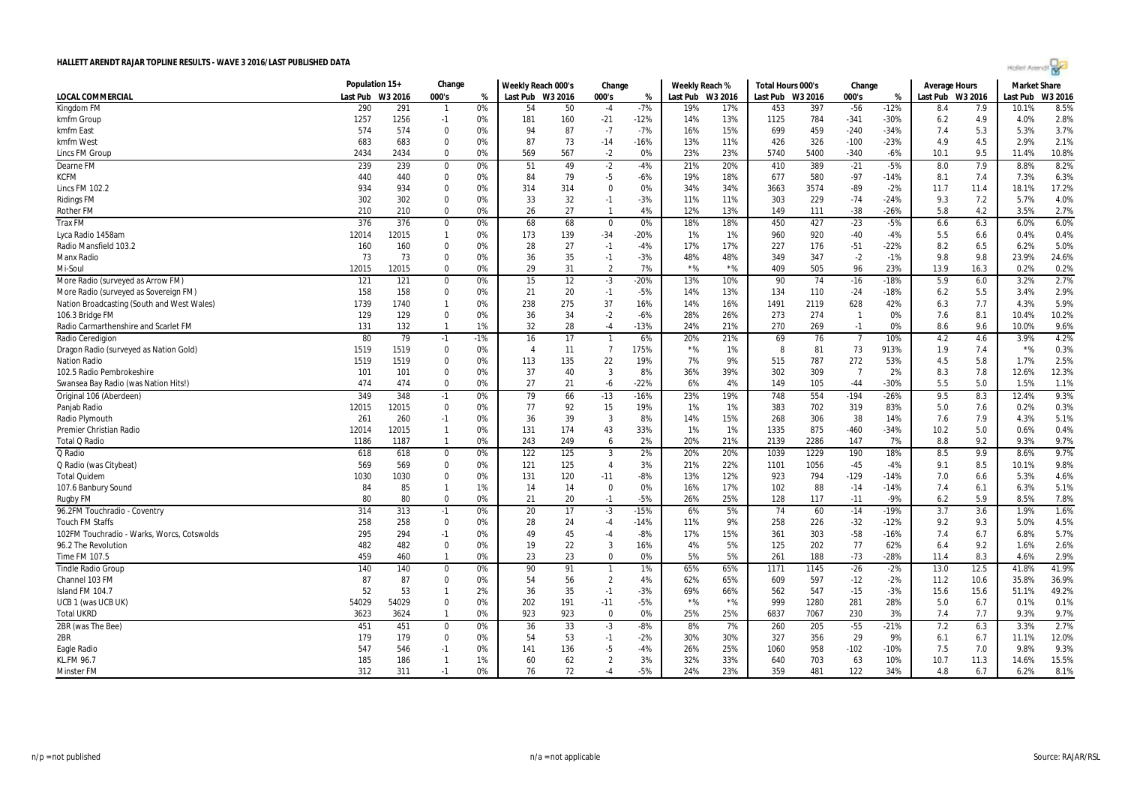| <b>SER</b><br>cн |  |  |
|------------------|--|--|
|                  |  |  |

|                                            | Population 15+ |            | Change       |          | Weekly Reach 000's |          | Change                   |                 | Weekly Reach % |          | Total Hours 000's |      | Change         |                  | Average Hours    |            | <b>Market Share</b> |         |
|--------------------------------------------|----------------|------------|--------------|----------|--------------------|----------|--------------------------|-----------------|----------------|----------|-------------------|------|----------------|------------------|------------------|------------|---------------------|---------|
| <b>LOCAL COMMERCIAL</b>                    | Last Pub       | W3 2016    | 000's        | %        | Last Pub W3 2016   |          | 000's                    | %               | Last Pub       | W3 2016  | Last Pub W3 2016  |      | 000's          | %                | Last Pub W3 2016 |            | ast Pub             | W3 2016 |
| Kingdom FM                                 | 290            | 291        | $\mathbf{1}$ | 0%       | 54                 | 50       | $-4$                     | $-7%$           | 19%            | 17%      | 453               | 397  | $-56$          | $-12%$           | 8.4              | 7.9        | 10.1%               | 8.5%    |
| kmfm Group                                 | 1257           | 1256       | $-1$         | 0%       | 181                | 160      | $-21$                    | $-12%$          | 14%            | 13%      | 1125              | 784  | $-341$         | $-30%$           | 6.2              | 4.9        | 4.0%                | 2.8%    |
| kmfm East                                  | 574            | 574        | $\mathbf{0}$ | 0%       | 94                 | 87       | $-7$                     | $-7%$           | 16%            | 15%      | 699               | 459  | $-240$         | $-34%$           | 7.4              | 5.3        | 5.3%                | 3.7%    |
| kmfm West                                  | 683            | 683        | 0            | 0%       | 87                 | 73       | $-14$                    | $-16%$          | 13%            | 11%      | 426               | 326  | $-100$         | $-23%$           | 4.9              | 4.5        | 2.9%                | 2.1%    |
| Lincs FM Group                             | 2434           | 2434       | $\Omega$     | 0%       | 569                | 567      | $-2$                     | 0%              | 23%            | 23%      | 5740              | 5400 | $-340$         | $-6%$            | 10.1             | 9.5        | 11.4%               | 10.8%   |
| Dearne FM                                  | 239            | 239        | $\pmb{0}$    | 0%       | 51                 | 49       | $-2$                     | $-4%$           | 21%            | 20%      | 410               | 389  | $-21$          | $-5%$            | 8.0              | 7.9        | 8.8%                | 8.2%    |
| <b>KCFM</b>                                | 440            | 440        | $\mathbf{0}$ | 0%       | 84                 | 79       | $-5$                     | $-6%$           | 19%            | 18%      | 677               | 580  | $-97$          | $-14%$           | 8.1              | 7.4        | 7.3%                | 6.3%    |
| <b>Lincs FM 102.2</b>                      | 934            | 934        | $\mathbf{0}$ | 0%       | 314                | 314      | $\Omega$                 | 0%              | 34%            | 34%      | 3663              | 3574 | $-89$          | $-2%$            | 11.7             | 11.4       | 18.1%               | 17.2%   |
| <b>Ridings FM</b>                          | 302            | 302        | 0            | 0%       | 33                 | 32       | $-1$                     | $-3%$           | 11%            | 11%      | 303               | 229  | $-74$          | $-24%$           | 9.3              | 7.2        | 5.7%                | 4.0%    |
| <b>Rother FM</b>                           | 210            | 210        | $\Omega$     | 0%       | 26                 | 27       | $\overline{\phantom{a}}$ | 4%              | 12%            | 13%      | 149               | 111  | $-38$          | -26%             | 5.8              | 4.2        | 3.5%                | 2.7%    |
| <b>Trax FM</b>                             | 376            | 376        | $\bf{0}$     | 0%       | 68                 | 68       | $\mathbf 0$              | 0%              | 18%            | 18%      | 450               | 427  | $-23$          | $-5%$            | 6.6              | 6.3        | 6.0%                | 6.0%    |
| Lyca Radio 1458am                          | 12014          | 12015      | $\mathbf{1}$ | 0%       | 173                | 139      | $-34$                    | $-20%$          | 1%             | 1%       | 960               | 920  | $-40$          | $-4%$            | 5.5              | 6.6        | 0.4%                | 0.4%    |
| Radio Mansfield 103.2                      | 160            | 160        | $\Omega$     | 0%       | 28                 | 27       | $-1$                     | $-4%$           | 17%            | 17%      | 227               | 176  | $-51$          | $-22%$           | 8.2              | 6.5        | 6.2%                | 5.0%    |
| Manx Radio                                 | 73             | 73         | $\mathbf{0}$ | 0%       | 36                 | 35       | $-1$                     | $-3%$           | 48%            | 48%      | 349               | 347  | $-2$           | $-1%$            | 9.8              | 9.8        | 23.9%               | 24.6%   |
| Mi-Soul                                    | 12015          | 12015      | $\Omega$     | 0%       | 29                 | 31       | $\overline{2}$           | 7%              | ${}^{\star}\%$ | $*$ %    | 409               | 505  | 96             | 23%              | 13.9             | 16.3       | 0.2%                | 0.2%    |
| More Radio (surveyed as Arrow FM)          | 121            | 121        | $\bf{0}$     | 0%       | 15                 | 12       | $-3$                     | $-20%$          | 13%            | 10%      | 90                | 74   | $-16$          | $-18%$           | 5.9              | 6.0        | 3.2%                | 2.7%    |
| More Radio (surveyed as Sovereign FM)      | 158            | 158        | $\mathbf{0}$ | 0%       | 21                 | 20       | $-1$                     | $-5%$           | 14%            | 13%      | 134               | 110  | $-24$          | $-18%$           | 6.2              | 5.5        | 3.4%                | 2.9%    |
| Nation Broadcasting (South and West Wales) | 1739           | 1740       | $\mathbf{1}$ | 0%       | 238                | 275      | 37                       | 16%             | 14%            | 16%      | 1491              | 2119 | 628            | 42%              | 6.3              | 7.7        | 4.3%                | 5.9%    |
| 106.3 Bridge FM                            | 129            | 129        | $\mathbf{0}$ | 0%       | 36                 | 34       | $-2$                     | $-6%$           | 28%            | 26%      | 273               | 274  | $\overline{1}$ | 0%               | 7.6              | 8.1        | 10.4%               | 10.2%   |
| Radio Carmarthenshire and Scarlet FM       | 131            | 132        | $\mathbf{1}$ | 1%       | 32                 | 28       | $-4$                     | $-13%$          | 24%            | 21%      | 270               | 269  | $-1$           | 0%               | 8.6              | 9.6        | 10.0%               | 9.6%    |
| Radio Ceredigion                           | 80             | 79         | $-1$         | $-1%$    | 16                 | 17       | $\overline{1}$           | 6%              | 20%            | 21%      | 69                | 76   | $\overline{7}$ | 10%              | 4.2              | 4.6        | 3.9%                | 4.2%    |
| Dragon Radio (surveyed as Nation Gold)     | 1519           | 1519       | $\Omega$     | 0%       | $\overline{4}$     | 11       | $\overline{7}$           | 175%            | ${}^{\star}\%$ | 1%       | 8                 | 81   | 73             | 913%             | 1.9              | 7.4        | $*$ %               | 0.3%    |
| <b>Nation Radio</b>                        | 1519           | 1519       | 0            | 0%       | 113                | 135      | 22                       | 19%             | 7%             | 9%       | 515               | 787  | 272            | 53%              | 4.5              | 5.8        | 1.7%                | 2.5%    |
| 102.5 Radio Pembrokeshire                  | 101            | 101        | 0            | 0%       | 37                 | 40       | $\overline{3}$           | 8%              | 36%            | 39%      | 302               | 309  | $\overline{7}$ | 2%               | 8.3              | 7.8        | 12.6%               | 12.3%   |
| Swansea Bay Radio (was Nation Hits!)       | 474            | 474        | $\Omega$     | 0%       | 27                 | 21       | $-6$                     | $-22%$          | 6%             | 4%       | 149               | 105  | $-44$          | $-30%$           | 5.5              | 5.0        | 1.5%                | 1.1%    |
| Original 106 (Aberdeen)                    | 349            | 348        | $-1$         | 0%       | 79                 | 66       | $-13$                    | $-16%$          | 23%            | 19%      | 748               | 554  | $-194$         | $-26%$           | 9.5              | 8.3        | 12.4%               | 9.3%    |
| Panjab Radio                               | 12015          | 12015      | $\bf{0}$     | 0%       | 77                 | 92       | 15                       | 19%             | 1%             | 1%       | 383               | 702  | 319            | 83%              | 5.0              | 7.6        | 0.2%                | 0.3%    |
| Radio Plymouth                             | 261            | 260        | $-1$         | 0%       | 36                 | 39       | 3                        | 8%              | 14%            | 15%      | 268               | 306  | 38             | 14%              | 7.6              | 7.9        | 4.3%                | 5.1%    |
| Premier Christian Radio                    | 12014          | 12015      | $\mathbf{1}$ | 0%       | 131                | 174      | 43                       | 33%             | 1%             | 1%       | 1335              | 875  | $-460$         | $-34%$           | 10.2             | 5.0        | 0.6%                | 0.4%    |
| Total Q Radio                              | 1186           | 1187       | $\mathbf{1}$ | 0%       | 243                | 249      | 6                        | 2%              | 20%            | 21%      | 2139              | 2286 | 147            | 7%               | 8.8              | 9.2        | 9.3%                | 9.7%    |
| Q Radio                                    | 618            | 618        | 0            | 0%       | 122                | 125      | 3                        | 2%              | 20%            | 20%      | 1039              | 1229 | 190            | 18%              | 8.5              | 9.9        | 8.6%                | 9.7%    |
| Q Radio (was Citybeat)                     | 569            | 569        | $\mathbf{0}$ | 0%       | 121                | 125      | $\overline{4}$           | 3%              | 21%            | 22%      | 1101              | 1056 | $-45$          | $-4%$            | 9.1              | 8.5        | 10.1%               | 9.8%    |
| <b>Total Quidem</b>                        | 1030           | 1030       | $\mathbf{0}$ | 0%       | 131                | 120      | $-11$                    | $-8%$           | 13%            | 12%      | 923               | 794  | $-129$         | $-14%$           | 7.0              | 6.6        | 5.3%                | 4.6%    |
|                                            | 84             | 85         | $\mathbf{1}$ | 1%       | 14                 | 14       | 0                        | 0%              | 16%            | 17%      | 102               | 88   | $-14$          | $-14%$           | 7.4              |            | 6.3%                | 5.1%    |
| 107.6 Banbury Sound<br>Rugby FM            | 80             | 80         | $\Omega$     | 0%       | 21                 | 20       | $-1$                     | $-5%$           | 26%            | 25%      | 128               | 117  | $-11$          | $-9%$            | 6.2              | 6.1<br>5.9 | 8.5%                | 7.8%    |
|                                            |                | 313        |              |          |                    | 17       |                          |                 |                |          |                   |      |                |                  |                  |            |                     | 1.6%    |
| 96.2FM Touchradio - Coventry               | 314            |            | $-1$<br>0    | 0%       | 20                 |          | $-3$                     | $-15%$          | 6%             | 5%<br>9% | 74<br>258         | 60   | $-14$          | $-19%$           | 3.7              | 3.6        | 1.9%                | 4.5%    |
| <b>Touch FM Staffs</b>                     | 258            | 258<br>294 | $-1$         | 0%<br>0% | 28<br>49           | 24<br>45 | $-4$<br>$-4$             | $-14%$<br>$-8%$ | 11%            |          |                   | 226  | $-32$          | $-12%$<br>$-16%$ | 9.2              | 9.3        | 5.0%<br>6.8%        | 5.7%    |
| 102FM Touchradio - Warks, Worcs, Cotswolds | 295            |            | $\mathbf{0}$ | 0%       |                    |          | $\overline{3}$           |                 | 17%            | 15%      | 361<br>125        | 303  | $-58$          |                  | 7.4<br>6.4       | 6.7        |                     | 2.6%    |
| 96.2 The Revolution                        | 482            | 482        | $\mathbf{1}$ | 0%       | 19                 | 22<br>23 | $\Omega$                 | 16%<br>0%       | 4%<br>5%       | 5%<br>5% | 261               | 202  | 77             | 62%              | 11.4             | 9.2<br>8.3 | 1.6%<br>4.6%        |         |
| Time FM 107.5                              | 459            | 460        |              |          | 23                 |          |                          |                 |                |          |                   | 188  | $-73$          | $-28%$           |                  |            |                     | 2.9%    |
| <b>Tindle Radio Group</b>                  | 140            | 140        | $\mathbf{0}$ | 0%       | 90                 | 91       |                          | 1%              | 65%            | 65%      | 1171              | 1145 | $-26$          | $-2%$            | 13.0             | 12.5       | 41.8%               | 41.9%   |
| Channel 103 FM                             | 87             | 87         | 0            | 0%       | 54                 | 56       | $\overline{2}$           | 4%              | 62%            | 65%      | 609               | 597  | $-12$          | $-2%$            | 11.2             | 10.6       | 35.8%               | 36.9%   |
| Island FM 104.7                            | 52             | 53         | $\mathbf{1}$ | 2%       | 36                 | 35       | $-1$                     | $-3%$           | 69%            | 66%      | 562               | 547  | $-15$          | $-3%$            | 15.6             | 15.6       | 51.1%               | 49.2%   |
| UCB 1 (was UCB UK)                         | 54029          | 54029      | $\mathbf 0$  | 0%       | 202                | 191      | $-11$                    | $-5%$           | $*$ %          | $*$ %    | 999               | 1280 | 281            | 28%              | 5.0              | 6.7        | 0.1%                | 0.1%    |
| <b>Total UKRD</b>                          | 3623           | 3624       | $\mathbf{1}$ | 0%       | 923                | 923      | $\mathbf 0$              | 0%              | 25%            | 25%      | 6837              | 7067 | 230            | 3%               | 7.4              | 7.7        | 9.3%                | 9.7%    |
| 2BR (was The Bee)                          | 451            | 451        | $\bf{0}$     | 0%       | 36                 | 33       | $-3$                     | $-8%$           | 8%             | 7%       | 260               | 205  | $-55$          | $-21%$           | 7.2              | 6.3        | 3.3%                | 2.7%    |
| 2BR                                        | 179            | 179        | $\mathbf 0$  | 0%       | 54                 | 53       | $-1$                     | $-2%$           | 30%            | 30%      | 327               | 356  | 29             | 9%               | 6.1              | 6.7        | 11.1%               | 12.0%   |
| Eagle Radio                                | 547            | 546        | $-1$         | 0%       | 141                | 136      | -5                       | $-4%$           | 26%            | 25%      | 1060              | 958  | $-102$         | $-10%$           | 7.5              | 7.0        | 9.8%                | 9.3%    |
| KL.FM 96.7                                 | 185            | 186        | $\mathbf{1}$ | 1%       | 60                 | 62       | $\overline{2}$           | 3%              | 32%            | 33%      | 640               | 703  | 63             | 10%              | 10.7             | 11.3       | 14.6%               | 15.5%   |
| <b>Minster FM</b>                          | 312            | 311        | $-1$         | 0%       | 76                 | 72       | -4                       | $-5%$           | 24%            | 23%      | 359               | 481  | 122            | 34%              | 4.8              | 6.7        | 6.2%                | 8.1%    |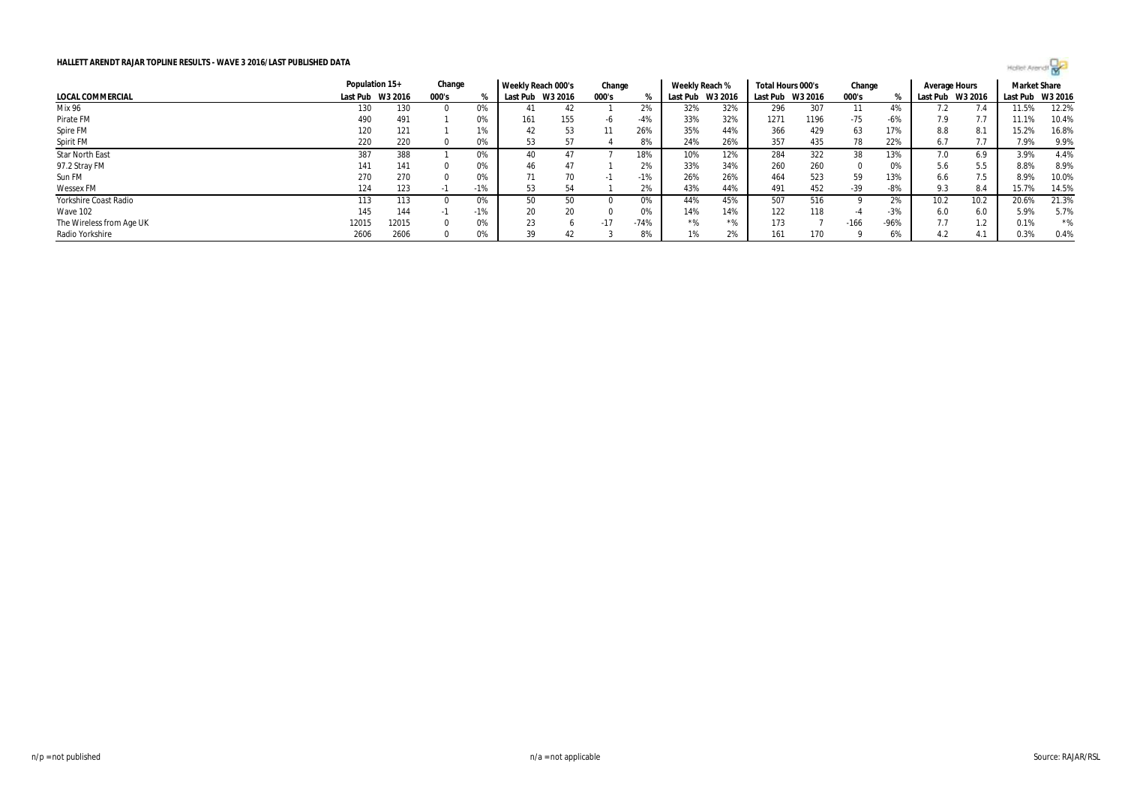

|                          | Population 15+   |       | Change |       | Weekly Reach 000's |     | Change |        | Weekly Reach % |                  | Total Hours 000's |         | Change     |        | Average Hours    |      | <b>Market Share</b> |       |
|--------------------------|------------------|-------|--------|-------|--------------------|-----|--------|--------|----------------|------------------|-------------------|---------|------------|--------|------------------|------|---------------------|-------|
| LOCAL COMMERCIAL         | Last Pub W3 2016 |       | 000's  |       | Last Pub W3 2016   |     | 000's  |        |                | Last Pub W3 2016 | Last Pub          | W3 2016 | 000's      |        | Last Pub W3 2016 |      | Last Pub W3 2016    |       |
| Mix 96                   | 130              | 130   |        | U%    |                    | 42  |        | 2%     | 32%            | 32%              | 296               | 307     |            | 4%     |                  |      | 11.5%               | 12.2% |
| Pirate FM                | 490              | 491   |        | 0%    | 161                | 155 | -6     | $-4%$  | 33%            | 32%              | 1271              | 1196    | -75        | -6%    | 7.9              |      | 11.1%               | 10.4% |
| Spire FM                 | 120              | 121   |        | 1%    | 42                 | 53  | 11     | 26%    | 35%            | 44%              | 366               | 429     | 63         | 17%    | 8.8              | 8.1  | 15.2%               | 16.8% |
| Spirit FM                | 220              | 220   |        | U%    | 53                 |     |        | 8%     | 24%            | 26%              | 357               | 435     | 78         | 22%    | 6.7              |      | 7.9%                | 9.9%  |
| Star North East          | 387              | 388   |        |       | 40                 |     |        | 18%    | 10%            | 12%              | 284               | 322     | 38         | 13%    | 7.0              | 6.9  | 3.9%                | 4.4%  |
| 97.2 Stray FM            | 141              | 141   |        | 0%    | 46                 | 47  |        | 2%     | 33%            | 34%              | 260               | 260     | $^{\circ}$ | 0%     | 5.6              | 5.5  | 8.8%                | 8.9%  |
| Sun FM                   | 270              | 270   |        | 0%    | 71                 | 70  |        | $-1%$  | 26%            | 26%              | 464               | 523     | 59         | 13%    | 6.6              | 7.5  | 8.9%                | 10.0% |
| <b>Wessex FM</b>         | 124              | 123   |        | $-1%$ | 53                 | 54  |        | 2%     | 43%            | 44%              | 491               | 452     | $-39$      | -8%    | 9.3              | 8.4  | 15.7%               | 14.5% |
| Yorkshire Coast Radio    | 113              | 113   |        |       | 50                 | 50  |        | 0%     | 44%            | 45%              | 507               | 516     |            | 2%     | 10.2             | 10.2 | 20.6%               | 21.3% |
| Wave 102                 | 145              | 144   | - 11   | $-1%$ | 20                 | 20  |        | 0%     | 14%            | 14%              | 122               | 118     | -4         | $-3%$  | 6.0              | 6.0  | 5.9%                | 5.7%  |
| The Wireless from Age UK | 12015            | 12015 |        | 0%    | 23                 |     | $-17$  | $-74%$ | *%             | $*0/$            | 173               |         | $-166$     | $-96%$ | 7.7              | 1.2  | 0.1%                | $*$ % |
| Radio Yorkshire          | 2606             | 2606  |        |       | 39                 | 42  |        | 8%     |                | 2%               | 161               | 170     |            | 6%     |                  | 4.1  | 0.3%                | 0.4%  |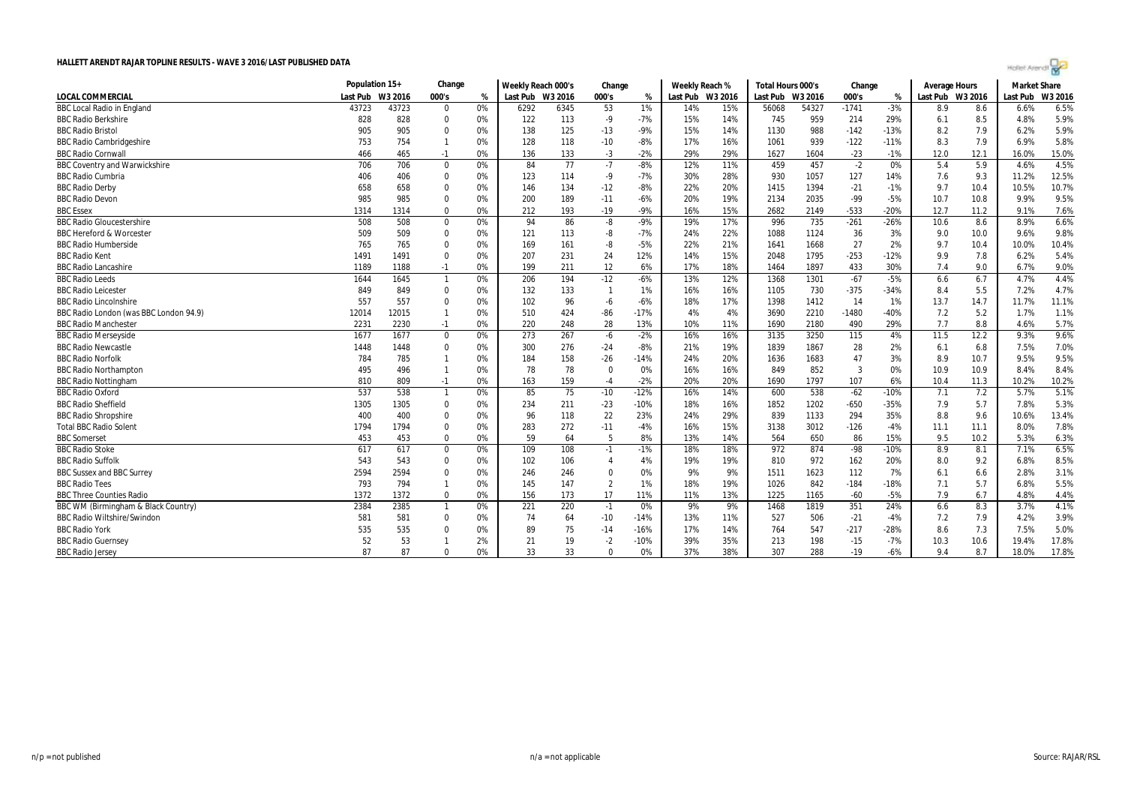|  | -11 |  |
|--|-----|--|
|  |     |  |

|                                        | Population 15+ |         | Change         |      | Weekly Reach 000's |      | Change         |        | Weekly Reach % |         | Total Hours 000's |         | Change  |        | <b>Average Hours</b> |      | <b>Market Share</b> |         |
|----------------------------------------|----------------|---------|----------------|------|--------------------|------|----------------|--------|----------------|---------|-------------------|---------|---------|--------|----------------------|------|---------------------|---------|
| <b>LOCAL COMMERCIAL</b>                | Last Pub       | W3 2016 | 000's          | $\%$ | Last Pub W3 2016   |      | 000's          | %      | Last Pub       | W3 2016 | Last Pub          | W3 2016 | 000's   | %      | Last Pub W3 2016     |      | Last Pub            | W3 2016 |
| <b>BBC Local Radio in England</b>      | 43723          | 43723   | $\mathbf 0$    | 0%   | 6292               | 6345 | 53             | 1%     | 14%            | 15%     | 56068             | 54327   | $-1741$ | $-3%$  | 8.9                  | 8.6  | 6.6%                | 6.5%    |
| <b>BBC Radio Berkshire</b>             | 828            | 828     | $\Omega$       | 0%   | 122                | 113  | -9             | $-7%$  | 15%            | 14%     | 745               | 959     | 214     | 29%    | 6.1                  | 8.5  | 4.8%                | 5.9%    |
| <b>BBC Radio Bristol</b>               | 905            | 905     | 0              | 0%   | 138                | 125  | $-13$          | $-9%$  | 15%            | 14%     | 1130              | 988     | $-142$  | $-13%$ | 8.2                  | 7.9  | 6.2%                | 5.9%    |
| <b>BBC Radio Cambridgeshire</b>        | 753            | 754     |                | 0%   | 128                | 118  | $-10$          | $-8%$  | 17%            | 16%     | 1061              | 939     | $-122$  | $-11%$ | 8.3                  | 7.9  | 6.9%                | 5.8%    |
| <b>BBC Radio Cornwall</b>              | 466            | 465     | $-1$           | 0%   | 136                | 133  | $-3$           | $-2%$  | 29%            | 29%     | 1627              | 1604    | $-23$   | $-1%$  | 12.0                 | 12.1 | 16.0%               | 15.0%   |
| <b>BBC Coventry and Warwickshire</b>   | 706            | 706     | 0              | 0%   | 84                 | 77   | $-7$           | $-8%$  | 12%            | 11%     | 459               | 457     | $-2$    | 0%     | 5.4                  | 5.9  | 4.6%                | 4.5%    |
| <b>BBC Radio Cumbria</b>               | 406            | 406     | $\Omega$       | 0%   | 123                | 114  | -9             | $-7%$  | 30%            | 28%     | 930               | 1057    | 127     | 14%    | 7.6                  | 9.3  | 11.2%               | 12.5%   |
| <b>BBC Radio Derby</b>                 | 658            | 658     | 0              | 0%   | 146                | 134  | $-12$          | $-8%$  | 22%            | 20%     | 1415              | 1394    | $-21$   | $-1%$  | 9.7                  | 10.4 | 10.5%               | 10.7%   |
| <b>BBC Radio Devon</b>                 | 985            | 985     | 0              | 0%   | 200                | 189  | $-11$          | $-6%$  | 20%            | 19%     | 2134              | 2035    | $-99$   | $-5%$  | 10.7                 | 10.8 | 9.9%                | 9.5%    |
| <b>BBC Essex</b>                       | 1314           | 1314    | $\Omega$       | 0%   | 212                | 193  | $-19$          | $-9%$  | 16%            | 15%     | 2682              | 2149    | $-533$  | $-20%$ | 12.7                 | 11.2 | 9.1%                | 7.6%    |
| <b>BBC Radio Gloucestershire</b>       | 508            | 508     | 0              | 0%   | 94                 | 86   | -8             | $-9%$  | 19%            | 17%     | 996               | 735     | $-261$  | $-26%$ | 10.6                 | 8.6  | 8.9%                | 6.6%    |
| <b>BBC Hereford &amp; Worcester</b>    | 509            | 509     | 0              | 0%   | 121                | 113  | -8             | $-7%$  | 24%            | 22%     | 1088              | 1124    | 36      | 3%     | 9.0                  | 10.0 | 9.6%                | 9.8%    |
| <b>BBC Radio Humberside</b>            | 765            | 765     | $\Omega$       | 0%   | 169                | 161  | -8             | $-5%$  | 22%            | 21%     | 1641              | 1668    | 27      | 2%     | 9.7                  | 10.4 | 10.0%               | 10.4%   |
| <b>BBC Radio Kent</b>                  | 1491           | 1491    | $\mathbf 0$    | 0%   | 207                | 231  | 24             | 12%    | 14%            | 15%     | 2048              | 1795    | $-253$  | $-12%$ | 9.9                  | 7.8  | 6.2%                | 5.4%    |
| <b>BBC Radio Lancashire</b>            | 1189           | 1188    | $-1$           | 0%   | 199                | 211  | 12             | 6%     | 17%            | 18%     | 1464              | 1897    | 433     | 30%    | 7.4                  | 9.0  | 6.7%                | 9.0%    |
| <b>BBC Radio Leeds</b>                 | 1644           | 1645    | $\overline{1}$ | 0%   | 206                | 194  | $-12$          | $-6%$  | 13%            | 12%     | 1368              | 1301    | $-67$   | $-5%$  | 6.6                  | 6.7  | 4.7%                | 4.4%    |
| <b>BBC Radio Leiceste</b>              | 849            | 849     | 0              | 0%   | 132                | 133  | $\mathbf{1}$   | 1%     | 16%            | 16%     | 1105              | 730     | $-375$  | $-34%$ | 8.4                  | 5.5  | 7.2%                | 4.7%    |
| <b>BBC Radio Lincolnshire</b>          | 557            | 557     | $\Omega$       | 0%   | 102                | 96   | $-6$           | $-6%$  | 18%            | 17%     | 1398              | 1412    | 14      | 1%     | 13.7                 | 14.7 | 11.7%               | 11.1%   |
| BBC Radio London (was BBC London 94.9) | 12014          | 12015   |                | 0%   | 510                | 424  | $-86$          | $-17%$ | 4%             | 4%      | 3690              | 2210    | $-1480$ | $-40%$ | 7.2                  | 5.2  | 1.7%                | 1.1%    |
| <b>BBC Radio Manchester</b>            | 2231           | 2230    | $-1$           | 0%   | 220                | 248  | 28             | 13%    | 10%            | 11%     | 1690              | 2180    | 490     | 29%    | 7.7                  | 8.8  | 4.6%                | 5.7%    |
| <b>BBC Radio Merseyside</b>            | 1677           | 1677    | 0              | 0%   | 273                | 267  | -6             | $-2%$  | 16%            | 16%     | 3135              | 3250    | 115     | 4%     | 11.5                 | 12.2 | 9.3%                | 9.6%    |
| <b>BBC Radio Newcastle</b>             | 1448           | 1448    | 0              | 0%   | 300                | 276  | $-24$          | $-8%$  | 21%            | 19%     | 1839              | 1867    | 28      | 2%     | 6.1                  | 6.8  | 7.5%                | 7.0%    |
| <b>BBC Radio Norfolk</b>               | 784            | 785     | $\mathbf{1}$   | 0%   | 184                | 158  | $-26$          | -14%   | 24%            | 20%     | 1636              | 1683    | 47      | 3%     | 8.9                  | 10.7 | 9.5%                | 9.5%    |
| <b>BBC Radio Northampton</b>           | 495            | 496     | $\overline{1}$ | 0%   | 78                 | 78   | $\pmb{0}$      | 0%     | 16%            | 16%     | 849               | 852     | 3       | 0%     | 10.9                 | 10.9 | 8.4%                | 8.4%    |
| <b>BBC Radio Nottingham</b>            | 810            | 809     | $-1$           | 0%   | 163                | 159  | $-4$           | $-2%$  | 20%            | 20%     | 1690              | 1797    | 107     | 6%     | 10.4                 | 11.3 | 10.2%               | 10.2%   |
| <b>BBC Radio Oxford</b>                | 537            | 538     | $\overline{1}$ | 0%   | 85                 | 75   | $-10$          | $-12%$ | 16%            | 14%     | 600               | 538     | $-62$   | $-10%$ | 7.1                  | 7.2  | 5.7%                | 5.1%    |
| <b>BBC Radio Sheffield</b>             | 1305           | 1305    | $\Omega$       | 0%   | 234                | 211  | $-23$          | -10%   | 18%            | 16%     | 1852              | 1202    | $-650$  | $-35%$ | 7.9                  | 5.7  | 7.8%                | 5.3%    |
| <b>BBC Radio Shropshire</b>            | 400            | 400     | $\Omega$       | 0%   | 96                 | 118  | 22             | 23%    | 24%            | 29%     | 839               | 1133    | 294     | 35%    | 8.8                  | 9.6  | 10.6%               | 13.4%   |
| <b>Total BBC Radio Solent</b>          | 1794           | 1794    | $\mathbf 0$    | 0%   | 283                | 272  | $-11$          | $-4%$  | 16%            | 15%     | 3138              | 3012    | $-126$  | $-4%$  | 11.1                 | 11.1 | 8.0%                | 7.8%    |
| <b>BBC</b> Somerset                    | 453            | 453     | $\Omega$       | 0%   | 59                 | 64   | 5              | 8%     | 13%            | 14%     | 564               | 650     | 86      | 15%    | 9.5                  | 10.2 | 5.3%                | 6.3%    |
| <b>BBC Radio Stoke</b>                 | 617            | 617     | 0              | 0%   | 109                | 108  | $-1$           | $-1%$  | 18%            | 18%     | 972               | 874     | $-98$   | $-10%$ | 8.9                  | 8.1  | 7.1%                | 6.5%    |
| <b>BBC Radio Suffolk</b>               | 543            | 543     | $\Omega$       | 0%   | 102                | 106  | 4              | 4%     | 19%            | 19%     | 810               | 972     | 162     | 20%    | 8.0                  | 9.2  | 6.8%                | 8.5%    |
| <b>BBC Sussex and BBC Surrey</b>       | 2594           | 2594    | 0              | 0%   | 246                | 246  | $\mathbf 0$    | 0%     | 9%             | 9%      | 1511              | 1623    | 112     | 7%     | 6.1                  | 6.6  | 2.8%                | 3.1%    |
| <b>BBC Radio Tees</b>                  | 793            | 794     | $\overline{1}$ | 0%   | 145                | 147  | $\overline{2}$ | 1%     | 18%            | 19%     | 1026              | 842     | $-184$  | $-18%$ | 7.1                  | 5.7  | 6.8%                | 5.5%    |
| <b>BBC Three Counties Radio</b>        | 1372           | 1372    | 0              | 0%   | 156                | 173  | 17             | 11%    | 11%            | 13%     | 1225              | 1165    | $-60$   | $-5%$  | 7.9                  | 6.7  | 4.8%                | 4.4%    |
| BBC WM (Birmingham & Black Country)    | 2384           | 2385    | $\overline{1}$ | 0%   | 221                | 220  | $-1$           | 0%     | 9%             | 9%      | 1468              | 1819    | 351     | 24%    | 6.6                  | 8.3  | 3.7%                | 4.1%    |
| <b>BBC Radio Wiltshire/Swindon</b>     | 581            | 581     | $\Omega$       | 0%   | 74                 | 64   | $-10$          | $-14%$ | 13%            | 11%     | 527               | 506     | $-21$   | $-4%$  | 7.2                  | 7.9  | 4.2%                | 3.9%    |
| <b>BBC Radio York</b>                  | 535            | 535     | $\Omega$       | 0%   | 89                 | 75   | $-14$          | -16%   | 17%            | 14%     | 764               | 547     | $-217$  | $-28%$ | 8.6                  | 7.3  | 7.5%                | 5.0%    |
| <b>BBC Radio Guernsey</b>              | 52             | 53      |                | 2%   | 21                 | 19   | $-2$           | -10%   | 39%            | 35%     | 213               | 198     | $-15$   | $-7%$  | 10.3                 | 10.6 | 19.4%               | 17.8%   |
| <b>BBC Radio Jersey</b>                | 87             | 87      | $\Omega$       | 0%   | 33                 | 33   | $\Omega$       | 0%     | 37%            | 38%     | 307               | 288     | $-19$   | $-6%$  | 9.4                  | 8.7  | 18.0%               | 17.8%   |